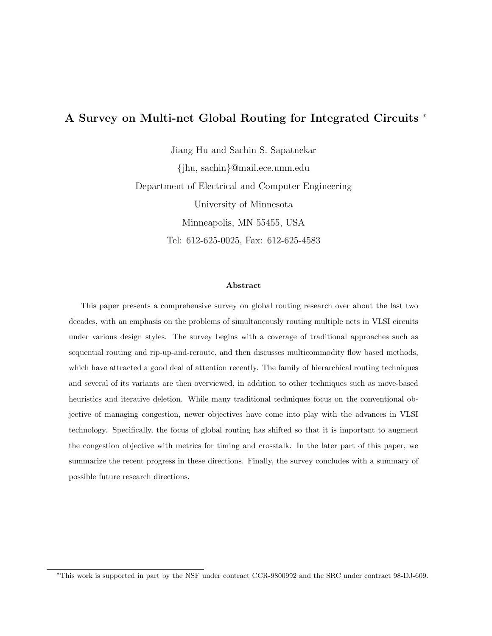# A Survey on Multi-net Global Routing for Integrated Circuits <sup>∗</sup>

Jiang Hu and Sachin S. Sapatnekar {jhu, sachin}@mail.ece.umn.edu Department of Electrical and Computer Engineering University of Minnesota Minneapolis, MN 55455, USA Tel: 612-625-0025, Fax: 612-625-4583

#### Abstract

This paper presents a comprehensive survey on global routing research over about the last two decades, with an emphasis on the problems of simultaneously routing multiple nets in VLSI circuits under various design styles. The survey begins with a coverage of traditional approaches such as sequential routing and rip-up-and-reroute, and then discusses multicommodity flow based methods, which have attracted a good deal of attention recently. The family of hierarchical routing techniques and several of its variants are then overviewed, in addition to other techniques such as move-based heuristics and iterative deletion. While many traditional techniques focus on the conventional objective of managing congestion, newer objectives have come into play with the advances in VLSI technology. Specifically, the focus of global routing has shifted so that it is important to augment the congestion objective with metrics for timing and crosstalk. In the later part of this paper, we summarize the recent progress in these directions. Finally, the survey concludes with a summary of possible future research directions.

<sup>∗</sup>This work is supported in part by the NSF under contract CCR-9800992 and the SRC under contract 98-DJ-609.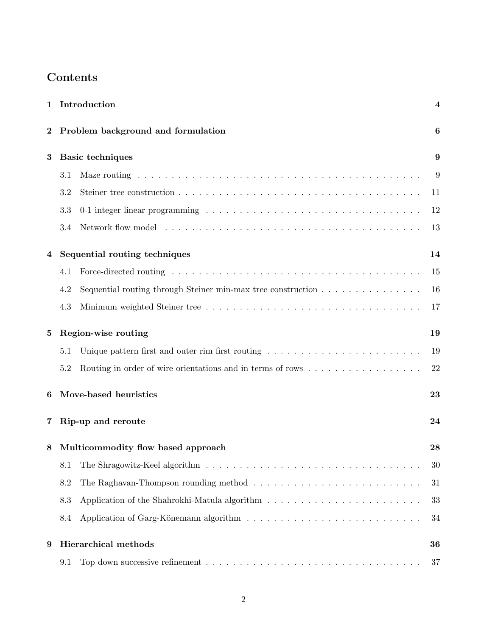# Contents

| $\mathbf{1}$ |                                    | Introduction                                                                                                        | $\bf{4}$         |
|--------------|------------------------------------|---------------------------------------------------------------------------------------------------------------------|------------------|
| $\bf{2}$     |                                    | Problem background and formulation                                                                                  | $\boldsymbol{6}$ |
| 3            |                                    | <b>Basic techniques</b>                                                                                             | 9                |
|              | 3.1                                |                                                                                                                     | 9                |
|              | 3.2                                |                                                                                                                     | 11               |
|              | 3.3                                |                                                                                                                     | 12               |
|              | 3.4                                |                                                                                                                     | 13               |
| 4            |                                    | Sequential routing techniques                                                                                       | 14               |
|              | 4.1                                |                                                                                                                     | 15               |
|              | 4.2                                | Sequential routing through Steiner min-max tree construction $\dots \dots \dots \dots \dots$                        | 16               |
|              | 4.3                                |                                                                                                                     | 17               |
| $\bf{5}$     | Region-wise routing                |                                                                                                                     |                  |
|              | 5.1                                | Unique pattern first and outer rim first routing $\ldots \ldots \ldots \ldots \ldots \ldots \ldots \ldots \ldots$   | 19               |
|              | 5.2                                | Routing in order of wire orientations and in terms of rows $\dots \dots \dots \dots \dots \dots$                    | 22               |
| 6            |                                    | Move-based heuristics                                                                                               | 23               |
| 7            |                                    | Rip-up and reroute                                                                                                  | 24               |
| 8            | Multicommodity flow based approach |                                                                                                                     |                  |
|              | 8.1                                | The Shragowitz-Keel algorithm $\ldots \ldots \ldots \ldots \ldots \ldots \ldots \ldots \ldots \ldots \ldots \ldots$ | 30               |
|              | 8.2                                | The Raghavan-Thompson rounding method $\ldots \ldots \ldots \ldots \ldots \ldots \ldots \ldots \ldots$              | 31               |
|              | 8.3                                | Application of the Shahrokhi-Matula algorithm                                                                       | 33               |
|              | 8.4                                |                                                                                                                     | 34               |
| 9            |                                    | <b>Hierarchical</b> methods                                                                                         | 36               |
|              | 9.1                                | Top down successive refinement $\ldots \ldots \ldots \ldots \ldots \ldots \ldots \ldots \ldots \ldots \ldots$       | 37               |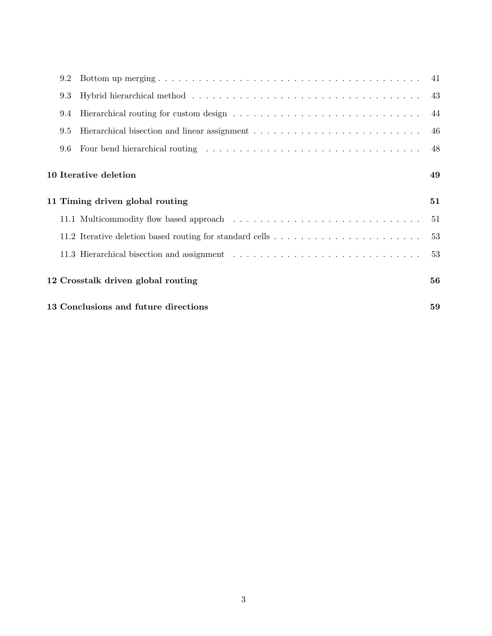| 9.2 |                                                                                                                                                                                                                                | -41 |
|-----|--------------------------------------------------------------------------------------------------------------------------------------------------------------------------------------------------------------------------------|-----|
| 9.3 |                                                                                                                                                                                                                                | 43  |
| 9.4 |                                                                                                                                                                                                                                | 44  |
| 9.5 |                                                                                                                                                                                                                                | 46  |
| 9.6 |                                                                                                                                                                                                                                | 48  |
|     | 10 Iterative deletion                                                                                                                                                                                                          | 49  |
|     |                                                                                                                                                                                                                                |     |
|     | 11 Timing driven global routing                                                                                                                                                                                                | 51  |
|     |                                                                                                                                                                                                                                | 51  |
|     |                                                                                                                                                                                                                                | 53  |
|     | 11.3 Hierarchical bisection and assignment resources in the set of the set of the set of the set of the set of the set of the set of the set of the set of the set of the set of the set of the set of the set of the set of t | 53  |
|     | 12 Crosstalk driven global routing                                                                                                                                                                                             | 56  |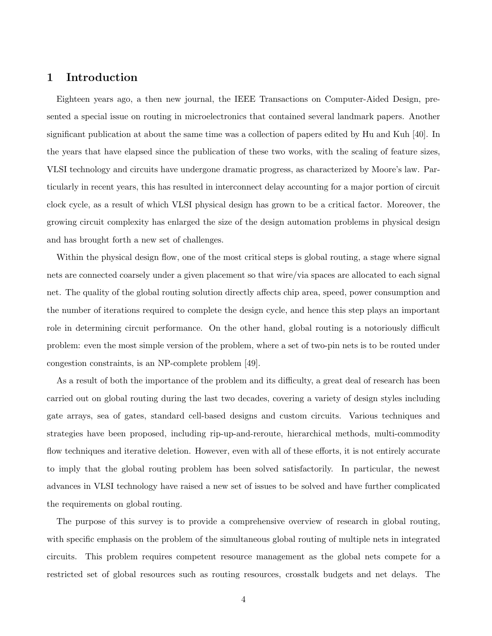# 1 Introduction

Eighteen years ago, a then new journal, the IEEE Transactions on Computer-Aided Design, presented a special issue on routing in microelectronics that contained several landmark papers. Another significant publication at about the same time was a collection of papers edited by Hu and Kuh [40]. In the years that have elapsed since the publication of these two works, with the scaling of feature sizes, VLSI technology and circuits have undergone dramatic progress, as characterized by Moore's law. Particularly in recent years, this has resulted in interconnect delay accounting for a major portion of circuit clock cycle, as a result of which VLSI physical design has grown to be a critical factor. Moreover, the growing circuit complexity has enlarged the size of the design automation problems in physical design and has brought forth a new set of challenges.

Within the physical design flow, one of the most critical steps is global routing, a stage where signal nets are connected coarsely under a given placement so that wire/via spaces are allocated to each signal net. The quality of the global routing solution directly affects chip area, speed, power consumption and the number of iterations required to complete the design cycle, and hence this step plays an important role in determining circuit performance. On the other hand, global routing is a notoriously difficult problem: even the most simple version of the problem, where a set of two-pin nets is to be routed under congestion constraints, is an NP-complete problem [49].

As a result of both the importance of the problem and its difficulty, a great deal of research has been carried out on global routing during the last two decades, covering a variety of design styles including gate arrays, sea of gates, standard cell-based designs and custom circuits. Various techniques and strategies have been proposed, including rip-up-and-reroute, hierarchical methods, multi-commodity flow techniques and iterative deletion. However, even with all of these efforts, it is not entirely accurate to imply that the global routing problem has been solved satisfactorily. In particular, the newest advances in VLSI technology have raised a new set of issues to be solved and have further complicated the requirements on global routing.

The purpose of this survey is to provide a comprehensive overview of research in global routing, with specific emphasis on the problem of the simultaneous global routing of multiple nets in integrated circuits. This problem requires competent resource management as the global nets compete for a restricted set of global resources such as routing resources, crosstalk budgets and net delays. The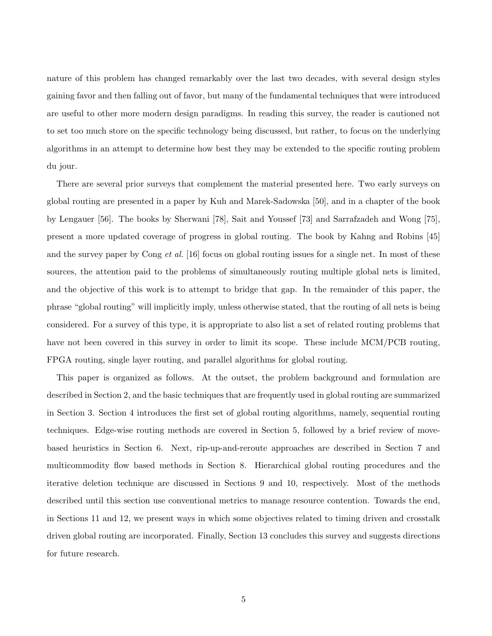nature of this problem has changed remarkably over the last two decades, with several design styles gaining favor and then falling out of favor, but many of the fundamental techniques that were introduced are useful to other more modern design paradigms. In reading this survey, the reader is cautioned not to set too much store on the specific technology being discussed, but rather, to focus on the underlying algorithms in an attempt to determine how best they may be extended to the specific routing problem du jour.

There are several prior surveys that complement the material presented here. Two early surveys on global routing are presented in a paper by Kuh and Marek-Sadowska [50], and in a chapter of the book by Lengauer [56]. The books by Sherwani [78], Sait and Youssef [73] and Sarrafzadeh and Wong [75], present a more updated coverage of progress in global routing. The book by Kahng and Robins [45] and the survey paper by Cong et al. [16] focus on global routing issues for a single net. In most of these sources, the attention paid to the problems of simultaneously routing multiple global nets is limited, and the objective of this work is to attempt to bridge that gap. In the remainder of this paper, the phrase "global routing" will implicitly imply, unless otherwise stated, that the routing of all nets is being considered. For a survey of this type, it is appropriate to also list a set of related routing problems that have not been covered in this survey in order to limit its scope. These include MCM/PCB routing, FPGA routing, single layer routing, and parallel algorithms for global routing.

This paper is organized as follows. At the outset, the problem background and formulation are described in Section 2, and the basic techniques that are frequently used in global routing are summarized in Section 3. Section 4 introduces the first set of global routing algorithms, namely, sequential routing techniques. Edge-wise routing methods are covered in Section 5, followed by a brief review of movebased heuristics in Section 6. Next, rip-up-and-reroute approaches are described in Section 7 and multicommodity flow based methods in Section 8. Hierarchical global routing procedures and the iterative deletion technique are discussed in Sections 9 and 10, respectively. Most of the methods described until this section use conventional metrics to manage resource contention. Towards the end, in Sections 11 and 12, we present ways in which some objectives related to timing driven and crosstalk driven global routing are incorporated. Finally, Section 13 concludes this survey and suggests directions for future research.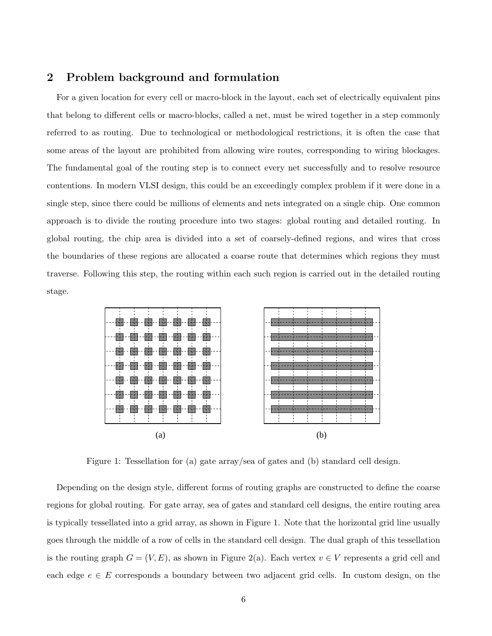# 2 Problem background and formulation

For a given location for every cell or macro-block in the layout, each set of electrically equivalent pins that belong to different cells or macro-blocks, called a net, must be wired together in a step commonly referred to as routing. Due to technological or methodological restrictions, it is often the case that some areas of the layout are prohibited from allowing wire routes, corresponding to wiring blockages. The fundamental goal of the routing step is to connect every net successfully and to resolve resource contentions. In modern VLSI design, this could be an exceedingly complex problem if it were done in a single step, since there could be millions of elements and nets integrated on a single chip. One common approach is to divide the routing procedure into two stages: global routing and detailed routing. In global routing, the chip area is divided into a set of coarsely-defined regions, and wires that cross the boundaries of these regions are allocated a coarse route that determines which regions they must traverse. Following this step, the routing within each such region is carried out in the detailed routing stage.



Figure 1: Tessellation for (a) gate array/sea of gates and (b) standard cell design.

Depending on the design style, different forms of routing graphs are constructed to define the coarse regions for global routing. For gate array, sea of gates and standard cell designs, the entire routing area is typically tessellated into a grid array, as shown in Figure 1. Note that the horizontal grid line usually goes through the middle of a row of cells in the standard cell design. The dual graph of this tessellation is the routing graph  $G = (V, E)$ , as shown in Figure 2(a). Each vertex  $v \in V$  represents a grid cell and each edge  $e \in E$  corresponds a boundary between two adjacent grid cells. In custom design, on the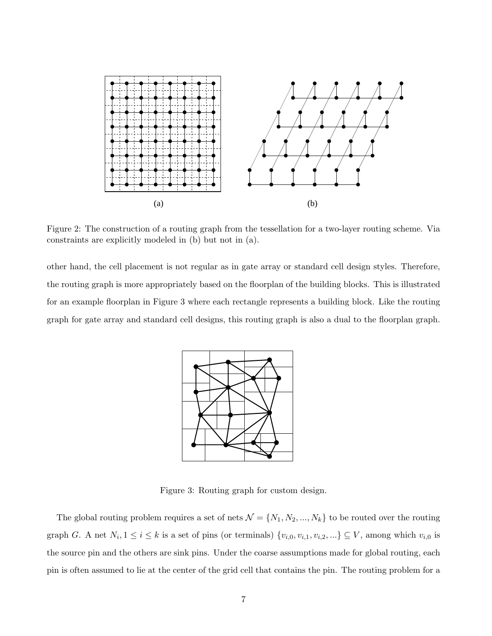

Figure 2: The construction of a routing graph from the tessellation for a two-layer routing scheme. Via constraints are explicitly modeled in (b) but not in (a).

other hand, the cell placement is not regular as in gate array or standard cell design styles. Therefore, the routing graph is more appropriately based on the floorplan of the building blocks. This is illustrated for an example floorplan in Figure 3 where each rectangle represents a building block. Like the routing graph for gate array and standard cell designs, this routing graph is also a dual to the floorplan graph.



Figure 3: Routing graph for custom design.

The global routing problem requires a set of nets  $\mathcal{N} = \{N_1, N_2, ..., N_k\}$  to be routed over the routing graph G. A net  $N_i, 1 \le i \le k$  is a set of pins (or terminals)  $\{v_{i,0}, v_{i,1}, v_{i,2}, ...\} \subseteq V$ , among which  $v_{i,0}$  is the source pin and the others are sink pins. Under the coarse assumptions made for global routing, each pin is often assumed to lie at the center of the grid cell that contains the pin. The routing problem for a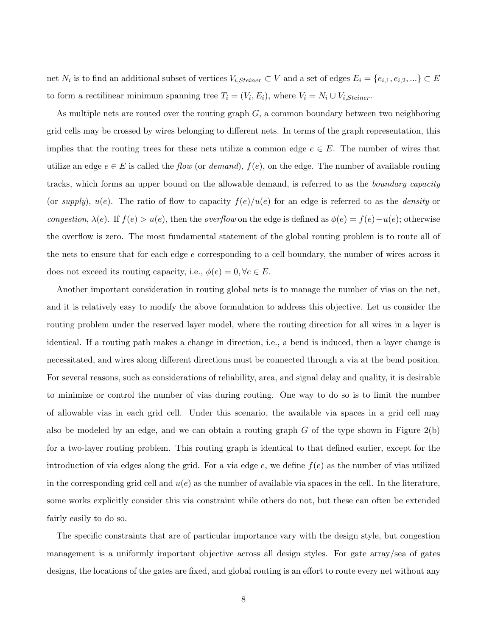net  $N_i$  is to find an additional subset of vertices  $V_{i,Steiner} \subset V$  and a set of edges  $E_i = \{e_{i,1}, e_{i,2}, ...\} \subset E$ to form a rectilinear minimum spanning tree  $T_i = (V_i, E_i)$ , where  $V_i = N_i \cup V_{i,Steiner}$ .

As multiple nets are routed over the routing graph  $G$ , a common boundary between two neighboring grid cells may be crossed by wires belonging to different nets. In terms of the graph representation, this implies that the routing trees for these nets utilize a common edge  $e \in E$ . The number of wires that utilize an edge  $e \in E$  is called the flow (or demand),  $f(e)$ , on the edge. The number of available routing tracks, which forms an upper bound on the allowable demand, is referred to as the *boundary capacity* (or supply),  $u(e)$ . The ratio of flow to capacity  $f(e)/u(e)$  for an edge is referred to as the *density* or congestion,  $\lambda(e)$ . If  $f(e) > u(e)$ , then the overflow on the edge is defined as  $\phi(e) = f(e) - u(e)$ ; otherwise the overflow is zero. The most fundamental statement of the global routing problem is to route all of the nets to ensure that for each edge  $e$  corresponding to a cell boundary, the number of wires across it does not exceed its routing capacity, i.e.,  $\phi(e) = 0, \forall e \in E$ .

Another important consideration in routing global nets is to manage the number of vias on the net, and it is relatively easy to modify the above formulation to address this objective. Let us consider the routing problem under the reserved layer model, where the routing direction for all wires in a layer is identical. If a routing path makes a change in direction, i.e., a bend is induced, then a layer change is necessitated, and wires along different directions must be connected through a via at the bend position. For several reasons, such as considerations of reliability, area, and signal delay and quality, it is desirable to minimize or control the number of vias during routing. One way to do so is to limit the number of allowable vias in each grid cell. Under this scenario, the available via spaces in a grid cell may also be modeled by an edge, and we can obtain a routing graph  $G$  of the type shown in Figure  $2(b)$ for a two-layer routing problem. This routing graph is identical to that defined earlier, except for the introduction of via edges along the grid. For a via edge  $e$ , we define  $f(e)$  as the number of vias utilized in the corresponding grid cell and  $u(e)$  as the number of available via spaces in the cell. In the literature, some works explicitly consider this via constraint while others do not, but these can often be extended fairly easily to do so.

The specific constraints that are of particular importance vary with the design style, but congestion management is a uniformly important objective across all design styles. For gate array/sea of gates designs, the locations of the gates are fixed, and global routing is an effort to route every net without any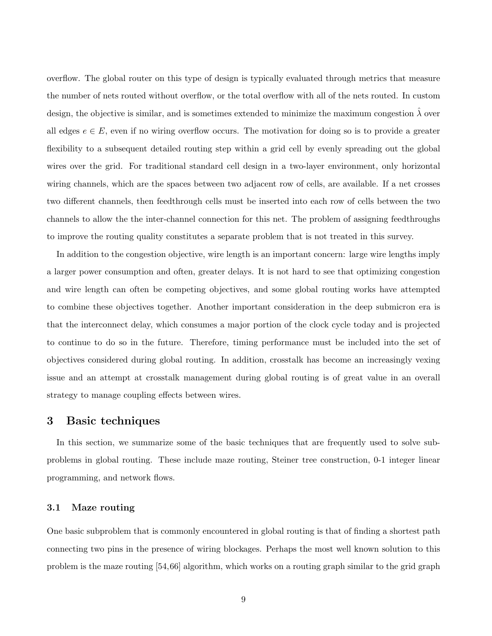overflow. The global router on this type of design is typically evaluated through metrics that measure the number of nets routed without overflow, or the total overflow with all of the nets routed. In custom design, the objective is similar, and is sometimes extended to minimize the maximum congestion  $\lambda$  over all edges  $e \in E$ , even if no wiring overflow occurs. The motivation for doing so is to provide a greater flexibility to a subsequent detailed routing step within a grid cell by evenly spreading out the global wires over the grid. For traditional standard cell design in a two-layer environment, only horizontal wiring channels, which are the spaces between two adjacent row of cells, are available. If a net crosses two different channels, then feedthrough cells must be inserted into each row of cells between the two channels to allow the the inter-channel connection for this net. The problem of assigning feedthroughs to improve the routing quality constitutes a separate problem that is not treated in this survey.

In addition to the congestion objective, wire length is an important concern: large wire lengths imply a larger power consumption and often, greater delays. It is not hard to see that optimizing congestion and wire length can often be competing objectives, and some global routing works have attempted to combine these objectives together. Another important consideration in the deep submicron era is that the interconnect delay, which consumes a major portion of the clock cycle today and is projected to continue to do so in the future. Therefore, timing performance must be included into the set of objectives considered during global routing. In addition, crosstalk has become an increasingly vexing issue and an attempt at crosstalk management during global routing is of great value in an overall strategy to manage coupling effects between wires.

# 3 Basic techniques

In this section, we summarize some of the basic techniques that are frequently used to solve subproblems in global routing. These include maze routing, Steiner tree construction, 0-1 integer linear programming, and network flows.

### 3.1 Maze routing

One basic subproblem that is commonly encountered in global routing is that of finding a shortest path connecting two pins in the presence of wiring blockages. Perhaps the most well known solution to this problem is the maze routing [54,66] algorithm, which works on a routing graph similar to the grid graph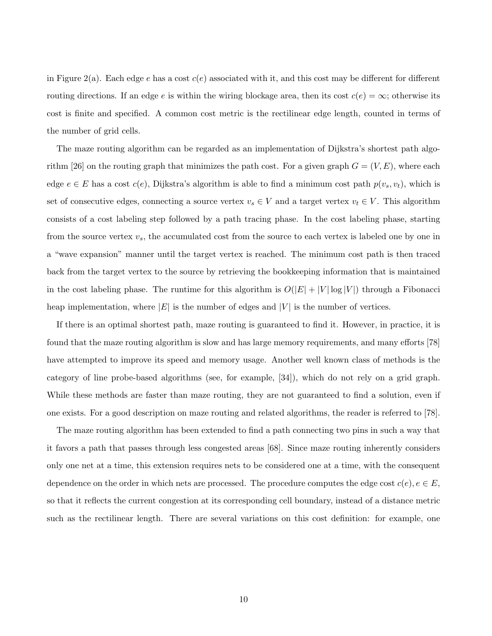in Figure 2(a). Each edge e has a cost  $c(e)$  associated with it, and this cost may be different for different routing directions. If an edge e is within the wiring blockage area, then its cost  $c(e) = \infty$ ; otherwise its cost is finite and specified. A common cost metric is the rectilinear edge length, counted in terms of the number of grid cells.

The maze routing algorithm can be regarded as an implementation of Dijkstra's shortest path algorithm [26] on the routing graph that minimizes the path cost. For a given graph  $G = (V, E)$ , where each edge  $e \in E$  has a cost  $c(e)$ , Dijkstra's algorithm is able to find a minimum cost path  $p(v_s, v_t)$ , which is set of consecutive edges, connecting a source vertex  $v_s \in V$  and a target vertex  $v_t \in V$ . This algorithm consists of a cost labeling step followed by a path tracing phase. In the cost labeling phase, starting from the source vertex  $v_s$ , the accumulated cost from the source to each vertex is labeled one by one in a "wave expansion" manner until the target vertex is reached. The minimum cost path is then traced back from the target vertex to the source by retrieving the bookkeeping information that is maintained in the cost labeling phase. The runtime for this algorithm is  $O(|E| + |V| \log |V|)$  through a Fibonacci heap implementation, where  $|E|$  is the number of edges and  $|V|$  is the number of vertices.

If there is an optimal shortest path, maze routing is guaranteed to find it. However, in practice, it is found that the maze routing algorithm is slow and has large memory requirements, and many efforts [78] have attempted to improve its speed and memory usage. Another well known class of methods is the category of line probe-based algorithms (see, for example, [34]), which do not rely on a grid graph. While these methods are faster than maze routing, they are not guaranteed to find a solution, even if one exists. For a good description on maze routing and related algorithms, the reader is referred to [78].

The maze routing algorithm has been extended to find a path connecting two pins in such a way that it favors a path that passes through less congested areas [68]. Since maze routing inherently considers only one net at a time, this extension requires nets to be considered one at a time, with the consequent dependence on the order in which nets are processed. The procedure computes the edge cost  $c(e), e \in E$ , so that it reflects the current congestion at its corresponding cell boundary, instead of a distance metric such as the rectilinear length. There are several variations on this cost definition: for example, one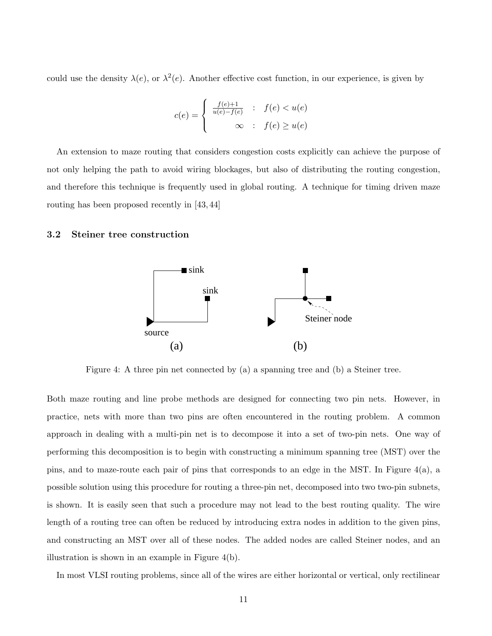could use the density  $\lambda(e)$ , or  $\lambda^2(e)$ . Another effective cost function, in our experience, is given by

$$
c(e) = \begin{cases} \frac{f(e)+1}{u(e)-f(e)} & \text{: } f(e) < u(e) \\ \infty & \text{: } f(e) \ge u(e) \end{cases}
$$

An extension to maze routing that considers congestion costs explicitly can achieve the purpose of not only helping the path to avoid wiring blockages, but also of distributing the routing congestion, and therefore this technique is frequently used in global routing. A technique for timing driven maze routing has been proposed recently in [43, 44]

#### 3.2 Steiner tree construction



Figure 4: A three pin net connected by (a) a spanning tree and (b) a Steiner tree.

Both maze routing and line probe methods are designed for connecting two pin nets. However, in practice, nets with more than two pins are often encountered in the routing problem. A common approach in dealing with a multi-pin net is to decompose it into a set of two-pin nets. One way of performing this decomposition is to begin with constructing a minimum spanning tree (MST) over the pins, and to maze-route each pair of pins that corresponds to an edge in the MST. In Figure 4(a), a possible solution using this procedure for routing a three-pin net, decomposed into two two-pin subnets, is shown. It is easily seen that such a procedure may not lead to the best routing quality. The wire length of a routing tree can often be reduced by introducing extra nodes in addition to the given pins, and constructing an MST over all of these nodes. The added nodes are called Steiner nodes, and an illustration is shown in an example in Figure 4(b).

In most VLSI routing problems, since all of the wires are either horizontal or vertical, only rectilinear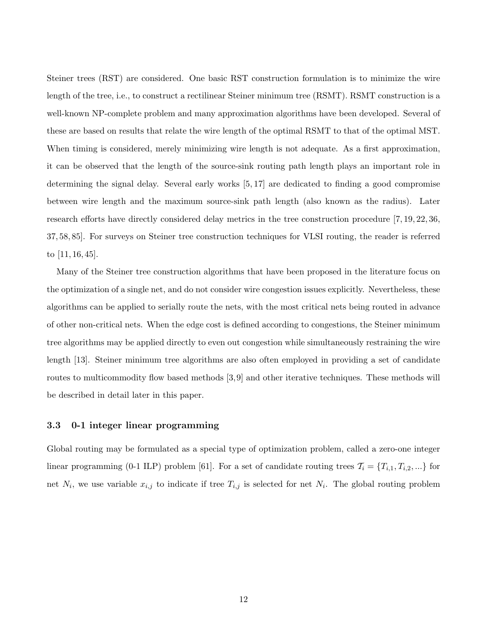Steiner trees (RST) are considered. One basic RST construction formulation is to minimize the wire length of the tree, i.e., to construct a rectilinear Steiner minimum tree (RSMT). RSMT construction is a well-known NP-complete problem and many approximation algorithms have been developed. Several of these are based on results that relate the wire length of the optimal RSMT to that of the optimal MST. When timing is considered, merely minimizing wire length is not adequate. As a first approximation, it can be observed that the length of the source-sink routing path length plays an important role in determining the signal delay. Several early works [5, 17] are dedicated to finding a good compromise between wire length and the maximum source-sink path length (also known as the radius). Later research efforts have directly considered delay metrics in the tree construction procedure [7, 19, 22, 36, 37, 58, 85]. For surveys on Steiner tree construction techniques for VLSI routing, the reader is referred to [11, 16, 45].

Many of the Steiner tree construction algorithms that have been proposed in the literature focus on the optimization of a single net, and do not consider wire congestion issues explicitly. Nevertheless, these algorithms can be applied to serially route the nets, with the most critical nets being routed in advance of other non-critical nets. When the edge cost is defined according to congestions, the Steiner minimum tree algorithms may be applied directly to even out congestion while simultaneously restraining the wire length [13]. Steiner minimum tree algorithms are also often employed in providing a set of candidate routes to multicommodity flow based methods [3,9] and other iterative techniques. These methods will be described in detail later in this paper.

### 3.3 0-1 integer linear programming

Global routing may be formulated as a special type of optimization problem, called a zero-one integer linear programming (0-1 ILP) problem [61]. For a set of candidate routing trees  $\mathcal{T}_i = \{T_{i,1}, T_{i,2}, ...\}$  for net  $N_i$ , we use variable  $x_{i,j}$  to indicate if tree  $T_{i,j}$  is selected for net  $N_i$ . The global routing problem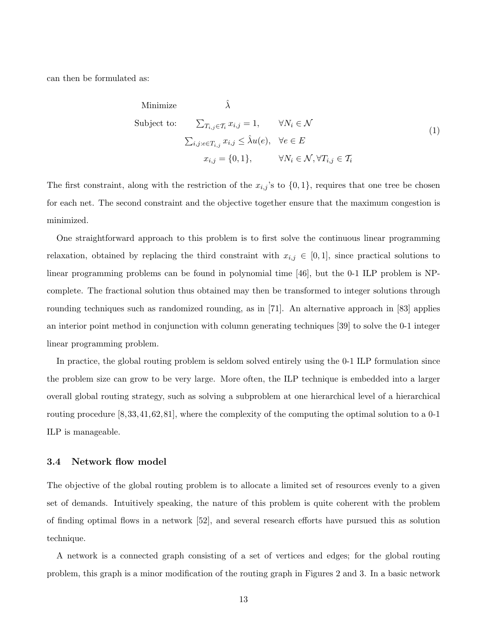can then be formulated as:

Minimize 
$$
\hat{\lambda}
$$
  
\nSubject to:  $\sum_{T_{i,j} \in \mathcal{T}_i} x_{i,j} = 1$ ,  $\forall N_i \in \mathcal{N}$   
\n $\sum_{i,j: e \in T_{i,j}} x_{i,j} \leq \hat{\lambda}u(e)$ ,  $\forall e \in E$   
\n $x_{i,j} = \{0, 1\}$ ,  $\forall N_i \in \mathcal{N}, \forall T_{i,j} \in \mathcal{T}_i$  (1)

The first constraint, along with the restriction of the  $x_{i,j}$ 's to  $\{0,1\}$ , requires that one tree be chosen for each net. The second constraint and the objective together ensure that the maximum congestion is minimized.

One straightforward approach to this problem is to first solve the continuous linear programming relaxation, obtained by replacing the third constraint with  $x_{i,j} \in [0,1]$ , since practical solutions to linear programming problems can be found in polynomial time [46], but the 0-1 ILP problem is NPcomplete. The fractional solution thus obtained may then be transformed to integer solutions through rounding techniques such as randomized rounding, as in [71]. An alternative approach in [83] applies an interior point method in conjunction with column generating techniques [39] to solve the 0-1 integer linear programming problem.

In practice, the global routing problem is seldom solved entirely using the 0-1 ILP formulation since the problem size can grow to be very large. More often, the ILP technique is embedded into a larger overall global routing strategy, such as solving a subproblem at one hierarchical level of a hierarchical routing procedure [8,33,41,62,81], where the complexity of the computing the optimal solution to a 0-1 ILP is manageable.

#### 3.4 Network flow model

The objective of the global routing problem is to allocate a limited set of resources evenly to a given set of demands. Intuitively speaking, the nature of this problem is quite coherent with the problem of finding optimal flows in a network [52], and several research efforts have pursued this as solution technique.

A network is a connected graph consisting of a set of vertices and edges; for the global routing problem, this graph is a minor modification of the routing graph in Figures 2 and 3. In a basic network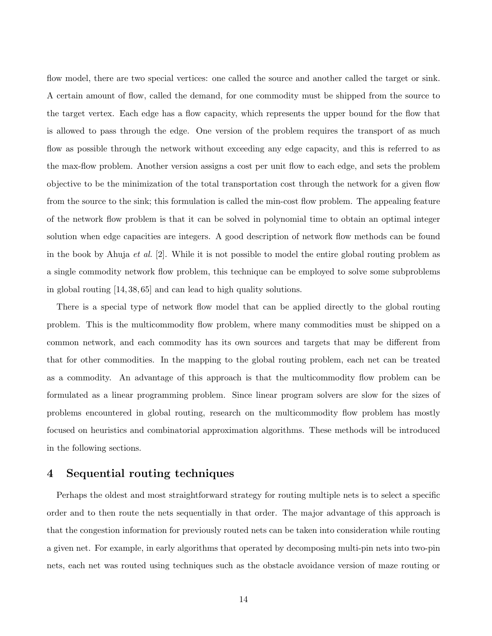flow model, there are two special vertices: one called the source and another called the target or sink. A certain amount of flow, called the demand, for one commodity must be shipped from the source to the target vertex. Each edge has a flow capacity, which represents the upper bound for the flow that is allowed to pass through the edge. One version of the problem requires the transport of as much flow as possible through the network without exceeding any edge capacity, and this is referred to as the max-flow problem. Another version assigns a cost per unit flow to each edge, and sets the problem objective to be the minimization of the total transportation cost through the network for a given flow from the source to the sink; this formulation is called the min-cost flow problem. The appealing feature of the network flow problem is that it can be solved in polynomial time to obtain an optimal integer solution when edge capacities are integers. A good description of network flow methods can be found in the book by Ahuja *et al.* [2]. While it is not possible to model the entire global routing problem as a single commodity network flow problem, this technique can be employed to solve some subproblems in global routing [14, 38, 65] and can lead to high quality solutions.

There is a special type of network flow model that can be applied directly to the global routing problem. This is the multicommodity flow problem, where many commodities must be shipped on a common network, and each commodity has its own sources and targets that may be different from that for other commodities. In the mapping to the global routing problem, each net can be treated as a commodity. An advantage of this approach is that the multicommodity flow problem can be formulated as a linear programming problem. Since linear program solvers are slow for the sizes of problems encountered in global routing, research on the multicommodity flow problem has mostly focused on heuristics and combinatorial approximation algorithms. These methods will be introduced in the following sections.

# 4 Sequential routing techniques

Perhaps the oldest and most straightforward strategy for routing multiple nets is to select a specific order and to then route the nets sequentially in that order. The major advantage of this approach is that the congestion information for previously routed nets can be taken into consideration while routing a given net. For example, in early algorithms that operated by decomposing multi-pin nets into two-pin nets, each net was routed using techniques such as the obstacle avoidance version of maze routing or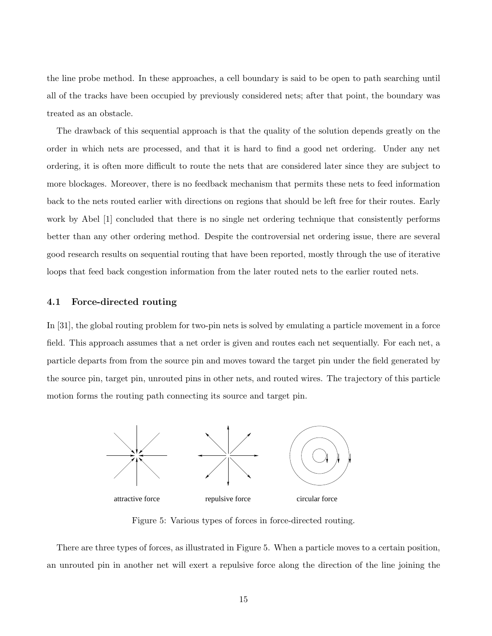the line probe method. In these approaches, a cell boundary is said to be open to path searching until all of the tracks have been occupied by previously considered nets; after that point, the boundary was treated as an obstacle.

The drawback of this sequential approach is that the quality of the solution depends greatly on the order in which nets are processed, and that it is hard to find a good net ordering. Under any net ordering, it is often more difficult to route the nets that are considered later since they are subject to more blockages. Moreover, there is no feedback mechanism that permits these nets to feed information back to the nets routed earlier with directions on regions that should be left free for their routes. Early work by Abel [1] concluded that there is no single net ordering technique that consistently performs better than any other ordering method. Despite the controversial net ordering issue, there are several good research results on sequential routing that have been reported, mostly through the use of iterative loops that feed back congestion information from the later routed nets to the earlier routed nets.

### 4.1 Force-directed routing

In [31], the global routing problem for two-pin nets is solved by emulating a particle movement in a force field. This approach assumes that a net order is given and routes each net sequentially. For each net, a particle departs from from the source pin and moves toward the target pin under the field generated by the source pin, target pin, unrouted pins in other nets, and routed wires. The trajectory of this particle motion forms the routing path connecting its source and target pin.



Figure 5: Various types of forces in force-directed routing.

There are three types of forces, as illustrated in Figure 5. When a particle moves to a certain position, an unrouted pin in another net will exert a repulsive force along the direction of the line joining the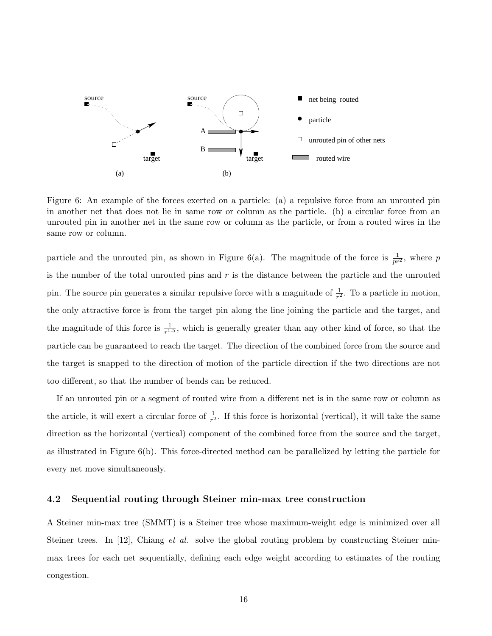

Figure 6: An example of the forces exerted on a particle: (a) a repulsive force from an unrouted pin in another net that does not lie in same row or column as the particle. (b) a circular force from an unrouted pin in another net in the same row or column as the particle, or from a routed wires in the same row or column.

particle and the unrouted pin, as shown in Figure 6(a). The magnitude of the force is  $\frac{1}{pr^2}$ , where p is the number of the total unrouted pins and  $r$  is the distance between the particle and the unrouted pin. The source pin generates a similar repulsive force with a magnitude of  $\frac{1}{r^2}$ . To a particle in motion, the only attractive force is from the target pin along the line joining the particle and the target, and the magnitude of this force is  $\frac{1}{r^{1.5}}$ , which is generally greater than any other kind of force, so that the particle can be guaranteed to reach the target. The direction of the combined force from the source and the target is snapped to the direction of motion of the particle direction if the two directions are not too different, so that the number of bends can be reduced.

If an unrouted pin or a segment of routed wire from a different net is in the same row or column as the article, it will exert a circular force of  $\frac{1}{r^2}$ . If this force is horizontal (vertical), it will take the same direction as the horizontal (vertical) component of the combined force from the source and the target, as illustrated in Figure 6(b). This force-directed method can be parallelized by letting the particle for every net move simultaneously.

### 4.2 Sequential routing through Steiner min-max tree construction

A Steiner min-max tree (SMMT) is a Steiner tree whose maximum-weight edge is minimized over all Steiner trees. In [12], Chiang *et al.* solve the global routing problem by constructing Steiner minmax trees for each net sequentially, defining each edge weight according to estimates of the routing congestion.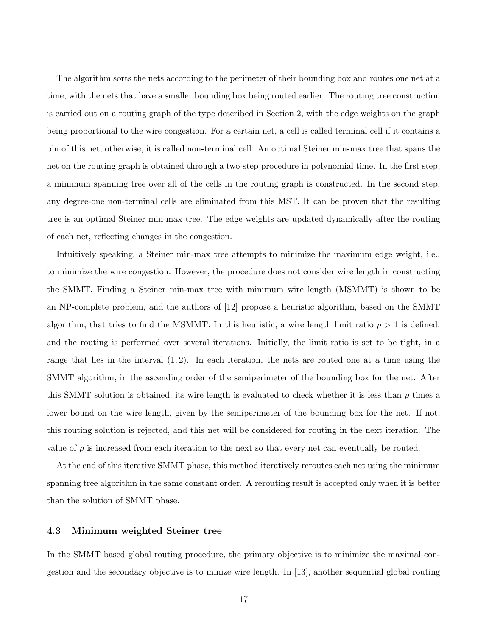The algorithm sorts the nets according to the perimeter of their bounding box and routes one net at a time, with the nets that have a smaller bounding box being routed earlier. The routing tree construction is carried out on a routing graph of the type described in Section 2, with the edge weights on the graph being proportional to the wire congestion. For a certain net, a cell is called terminal cell if it contains a pin of this net; otherwise, it is called non-terminal cell. An optimal Steiner min-max tree that spans the net on the routing graph is obtained through a two-step procedure in polynomial time. In the first step, a minimum spanning tree over all of the cells in the routing graph is constructed. In the second step, any degree-one non-terminal cells are eliminated from this MST. It can be proven that the resulting tree is an optimal Steiner min-max tree. The edge weights are updated dynamically after the routing of each net, reflecting changes in the congestion.

Intuitively speaking, a Steiner min-max tree attempts to minimize the maximum edge weight, i.e., to minimize the wire congestion. However, the procedure does not consider wire length in constructing the SMMT. Finding a Steiner min-max tree with minimum wire length (MSMMT) is shown to be an NP-complete problem, and the authors of [12] propose a heuristic algorithm, based on the SMMT algorithm, that tries to find the MSMMT. In this heuristic, a wire length limit ratio  $\rho > 1$  is defined, and the routing is performed over several iterations. Initially, the limit ratio is set to be tight, in a range that lies in the interval  $(1, 2)$ . In each iteration, the nets are routed one at a time using the SMMT algorithm, in the ascending order of the semiperimeter of the bounding box for the net. After this SMMT solution is obtained, its wire length is evaluated to check whether it is less than  $\rho$  times a lower bound on the wire length, given by the semiperimeter of the bounding box for the net. If not, this routing solution is rejected, and this net will be considered for routing in the next iteration. The value of  $\rho$  is increased from each iteration to the next so that every net can eventually be routed.

At the end of this iterative SMMT phase, this method iteratively reroutes each net using the minimum spanning tree algorithm in the same constant order. A rerouting result is accepted only when it is better than the solution of SMMT phase.

### 4.3 Minimum weighted Steiner tree

In the SMMT based global routing procedure, the primary objective is to minimize the maximal congestion and the secondary objective is to minize wire length. In [13], another sequential global routing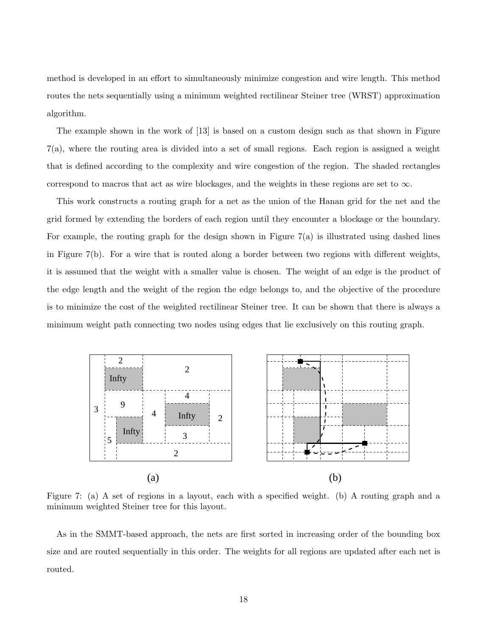method is developed in an effort to simultaneously minimize congestion and wire length. This method routes the nets sequentially using a minimum weighted rectilinear Steiner tree (WRST) approximation algorithm.

The example shown in the work of [13] is based on a custom design such as that shown in Figure 7(a), where the routing area is divided into a set of small regions. Each region is assigned a weight that is defined according to the complexity and wire congestion of the region. The shaded rectangles correspond to macros that act as wire blockages, and the weights in these regions are set to  $\infty$ .

This work constructs a routing graph for a net as the union of the Hanan grid for the net and the grid formed by extending the borders of each region until they encounter a blockage or the boundary. For example, the routing graph for the design shown in Figure 7(a) is illustrated using dashed lines in Figure 7(b). For a wire that is routed along a border between two regions with different weights, it is assumed that the weight with a smaller value is chosen. The weight of an edge is the product of the edge length and the weight of the region the edge belongs to, and the objective of the procedure is to minimize the cost of the weighted rectilinear Steiner tree. It can be shown that there is always a minimum weight path connecting two nodes using edges that lie exclusively on this routing graph.



Figure 7: (a) A set of regions in a layout, each with a specified weight. (b) A routing graph and a minimum weighted Steiner tree for this layout.

As in the SMMT-based approach, the nets are first sorted in increasing order of the bounding box size and are routed sequentially in this order. The weights for all regions are updated after each net is routed.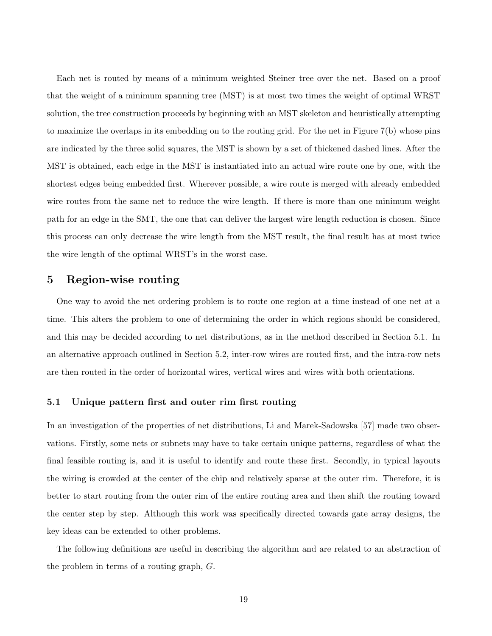Each net is routed by means of a minimum weighted Steiner tree over the net. Based on a proof that the weight of a minimum spanning tree (MST) is at most two times the weight of optimal WRST solution, the tree construction proceeds by beginning with an MST skeleton and heuristically attempting to maximize the overlaps in its embedding on to the routing grid. For the net in Figure 7(b) whose pins are indicated by the three solid squares, the MST is shown by a set of thickened dashed lines. After the MST is obtained, each edge in the MST is instantiated into an actual wire route one by one, with the shortest edges being embedded first. Wherever possible, a wire route is merged with already embedded wire routes from the same net to reduce the wire length. If there is more than one minimum weight path for an edge in the SMT, the one that can deliver the largest wire length reduction is chosen. Since this process can only decrease the wire length from the MST result, the final result has at most twice the wire length of the optimal WRST's in the worst case.

# 5 Region-wise routing

One way to avoid the net ordering problem is to route one region at a time instead of one net at a time. This alters the problem to one of determining the order in which regions should be considered, and this may be decided according to net distributions, as in the method described in Section 5.1. In an alternative approach outlined in Section 5.2, inter-row wires are routed first, and the intra-row nets are then routed in the order of horizontal wires, vertical wires and wires with both orientations.

### 5.1 Unique pattern first and outer rim first routing

In an investigation of the properties of net distributions, Li and Marek-Sadowska [57] made two observations. Firstly, some nets or subnets may have to take certain unique patterns, regardless of what the final feasible routing is, and it is useful to identify and route these first. Secondly, in typical layouts the wiring is crowded at the center of the chip and relatively sparse at the outer rim. Therefore, it is better to start routing from the outer rim of the entire routing area and then shift the routing toward the center step by step. Although this work was specifically directed towards gate array designs, the key ideas can be extended to other problems.

The following definitions are useful in describing the algorithm and are related to an abstraction of the problem in terms of a routing graph, G.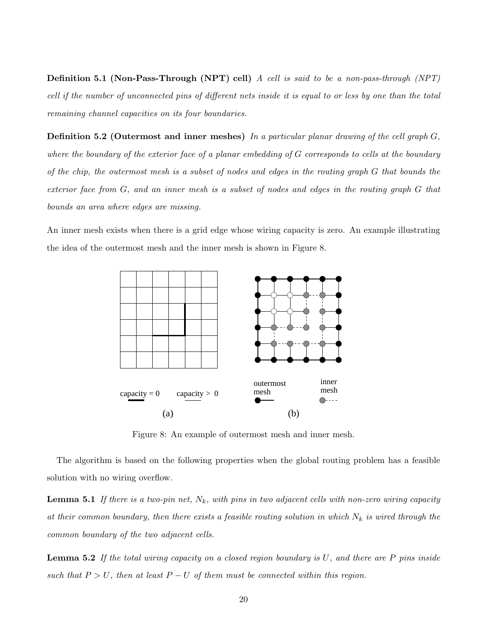**Definition 5.1 (Non-Pass-Through (NPT) cell)** A cell is said to be a non-pass-through (NPT) cell if the number of unconnected pins of different nets inside it is equal to or less by one than the total remaining channel capacities on its four boundaries.

**Definition 5.2 (Outermost and inner meshes)** In a particular planar drawing of the cell graph  $G$ , where the boundary of the exterior face of a planar embedding of G corresponds to cells at the boundary of the chip, the outermost mesh is a subset of nodes and edges in the routing graph G that bounds the exterior face from G, and an inner mesh is a subset of nodes and edges in the routing graph G that bounds an area where edges are missing.

An inner mesh exists when there is a grid edge whose wiring capacity is zero. An example illustrating the idea of the outermost mesh and the inner mesh is shown in Figure 8.



Figure 8: An example of outermost mesh and inner mesh.

The algorithm is based on the following properties when the global routing problem has a feasible solution with no wiring overflow.

**Lemma 5.1** If there is a two-pin net,  $N_k$ , with pins in two adjacent cells with non-zero wiring capacity at their common boundary, then there exists a feasible routing solution in which  $N_k$  is wired through the common boundary of the two adjacent cells.

**Lemma 5.2** If the total wiring capacity on a closed region boundary is  $U$ , and there are P pins inside such that  $P > U$ , then at least  $P - U$  of them must be connected within this region.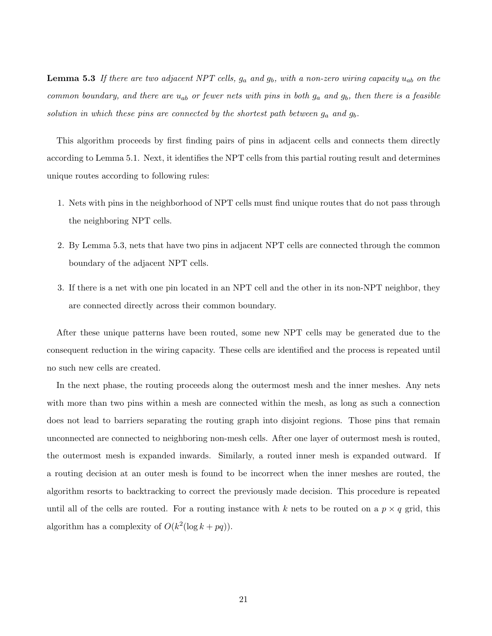**Lemma 5.3** If there are two adjacent NPT cells,  $g_a$  and  $g_b$ , with a non-zero wiring capacity  $u_{ab}$  on the common boundary, and there are  $u_{ab}$  or fewer nets with pins in both  $g_a$  and  $g_b$ , then there is a feasible solution in which these pins are connected by the shortest path between  $g_a$  and  $g_b$ .

This algorithm proceeds by first finding pairs of pins in adjacent cells and connects them directly according to Lemma 5.1. Next, it identifies the NPT cells from this partial routing result and determines unique routes according to following rules:

- 1. Nets with pins in the neighborhood of NPT cells must find unique routes that do not pass through the neighboring NPT cells.
- 2. By Lemma 5.3, nets that have two pins in adjacent NPT cells are connected through the common boundary of the adjacent NPT cells.
- 3. If there is a net with one pin located in an NPT cell and the other in its non-NPT neighbor, they are connected directly across their common boundary.

After these unique patterns have been routed, some new NPT cells may be generated due to the consequent reduction in the wiring capacity. These cells are identified and the process is repeated until no such new cells are created.

In the next phase, the routing proceeds along the outermost mesh and the inner meshes. Any nets with more than two pins within a mesh are connected within the mesh, as long as such a connection does not lead to barriers separating the routing graph into disjoint regions. Those pins that remain unconnected are connected to neighboring non-mesh cells. After one layer of outermost mesh is routed, the outermost mesh is expanded inwards. Similarly, a routed inner mesh is expanded outward. If a routing decision at an outer mesh is found to be incorrect when the inner meshes are routed, the algorithm resorts to backtracking to correct the previously made decision. This procedure is repeated until all of the cells are routed. For a routing instance with k nets to be routed on a  $p \times q$  grid, this algorithm has a complexity of  $O(k^2(\log k + pq))$ .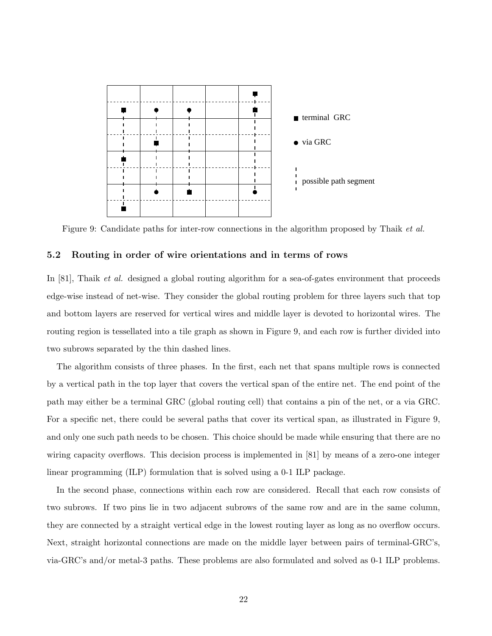

Figure 9: Candidate paths for inter-row connections in the algorithm proposed by Thaik *et al.* 

#### 5.2 Routing in order of wire orientations and in terms of rows

In [81], Thaik *et al.* designed a global routing algorithm for a sea-of-gates environment that proceeds edge-wise instead of net-wise. They consider the global routing problem for three layers such that top and bottom layers are reserved for vertical wires and middle layer is devoted to horizontal wires. The routing region is tessellated into a tile graph as shown in Figure 9, and each row is further divided into two subrows separated by the thin dashed lines.

The algorithm consists of three phases. In the first, each net that spans multiple rows is connected by a vertical path in the top layer that covers the vertical span of the entire net. The end point of the path may either be a terminal GRC (global routing cell) that contains a pin of the net, or a via GRC. For a specific net, there could be several paths that cover its vertical span, as illustrated in Figure 9, and only one such path needs to be chosen. This choice should be made while ensuring that there are no wiring capacity overflows. This decision process is implemented in [81] by means of a zero-one integer linear programming (ILP) formulation that is solved using a 0-1 ILP package.

In the second phase, connections within each row are considered. Recall that each row consists of two subrows. If two pins lie in two adjacent subrows of the same row and are in the same column, they are connected by a straight vertical edge in the lowest routing layer as long as no overflow occurs. Next, straight horizontal connections are made on the middle layer between pairs of terminal-GRC's, via-GRC's and/or metal-3 paths. These problems are also formulated and solved as 0-1 ILP problems.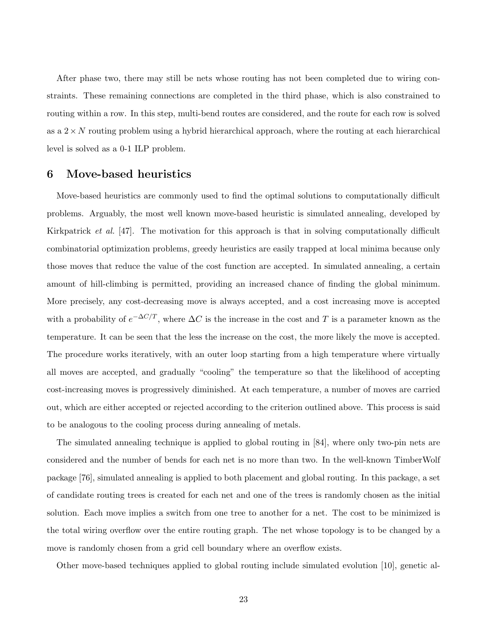After phase two, there may still be nets whose routing has not been completed due to wiring constraints. These remaining connections are completed in the third phase, which is also constrained to routing within a row. In this step, multi-bend routes are considered, and the route for each row is solved as a  $2 \times N$  routing problem using a hybrid hierarchical approach, where the routing at each hierarchical level is solved as a 0-1 ILP problem.

# 6 Move-based heuristics

Move-based heuristics are commonly used to find the optimal solutions to computationally difficult problems. Arguably, the most well known move-based heuristic is simulated annealing, developed by Kirkpatrick et al. [47]. The motivation for this approach is that in solving computationally difficult combinatorial optimization problems, greedy heuristics are easily trapped at local minima because only those moves that reduce the value of the cost function are accepted. In simulated annealing, a certain amount of hill-climbing is permitted, providing an increased chance of finding the global minimum. More precisely, any cost-decreasing move is always accepted, and a cost increasing move is accepted with a probability of  $e^{-\Delta C/T}$ , where  $\Delta C$  is the increase in the cost and T is a parameter known as the temperature. It can be seen that the less the increase on the cost, the more likely the move is accepted. The procedure works iteratively, with an outer loop starting from a high temperature where virtually all moves are accepted, and gradually "cooling" the temperature so that the likelihood of accepting cost-increasing moves is progressively diminished. At each temperature, a number of moves are carried out, which are either accepted or rejected according to the criterion outlined above. This process is said to be analogous to the cooling process during annealing of metals.

The simulated annealing technique is applied to global routing in [84], where only two-pin nets are considered and the number of bends for each net is no more than two. In the well-known TimberWolf package [76], simulated annealing is applied to both placement and global routing. In this package, a set of candidate routing trees is created for each net and one of the trees is randomly chosen as the initial solution. Each move implies a switch from one tree to another for a net. The cost to be minimized is the total wiring overflow over the entire routing graph. The net whose topology is to be changed by a move is randomly chosen from a grid cell boundary where an overflow exists.

Other move-based techniques applied to global routing include simulated evolution [10], genetic al-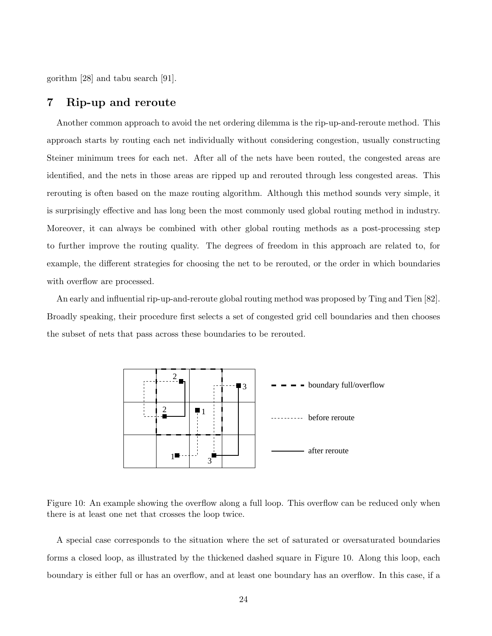gorithm [28] and tabu search [91].

# 7 Rip-up and reroute

Another common approach to avoid the net ordering dilemma is the rip-up-and-reroute method. This approach starts by routing each net individually without considering congestion, usually constructing Steiner minimum trees for each net. After all of the nets have been routed, the congested areas are identified, and the nets in those areas are ripped up and rerouted through less congested areas. This rerouting is often based on the maze routing algorithm. Although this method sounds very simple, it is surprisingly effective and has long been the most commonly used global routing method in industry. Moreover, it can always be combined with other global routing methods as a post-processing step to further improve the routing quality. The degrees of freedom in this approach are related to, for example, the different strategies for choosing the net to be rerouted, or the order in which boundaries with overflow are processed.

An early and influential rip-up-and-reroute global routing method was proposed by Ting and Tien [82]. Broadly speaking, their procedure first selects a set of congested grid cell boundaries and then chooses the subset of nets that pass across these boundaries to be rerouted.



Figure 10: An example showing the overflow along a full loop. This overflow can be reduced only when there is at least one net that crosses the loop twice.

A special case corresponds to the situation where the set of saturated or oversaturated boundaries forms a closed loop, as illustrated by the thickened dashed square in Figure 10. Along this loop, each boundary is either full or has an overflow, and at least one boundary has an overflow. In this case, if a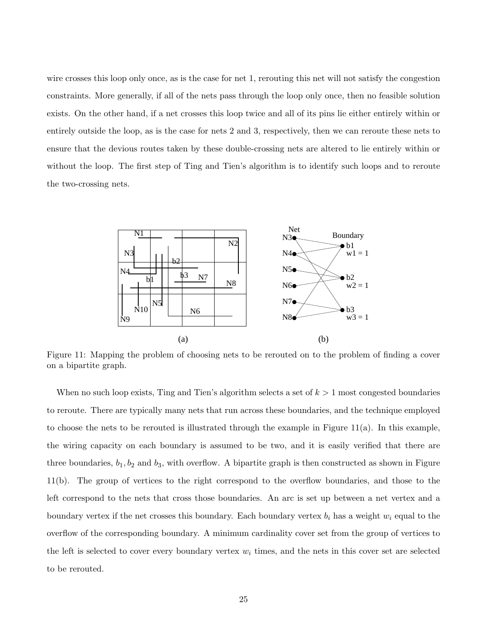wire crosses this loop only once, as is the case for net 1, rerouting this net will not satisfy the congestion constraints. More generally, if all of the nets pass through the loop only once, then no feasible solution exists. On the other hand, if a net crosses this loop twice and all of its pins lie either entirely within or entirely outside the loop, as is the case for nets 2 and 3, respectively, then we can reroute these nets to ensure that the devious routes taken by these double-crossing nets are altered to lie entirely within or without the loop. The first step of Ting and Tien's algorithm is to identify such loops and to reroute the two-crossing nets.



Figure 11: Mapping the problem of choosing nets to be rerouted on to the problem of finding a cover on a bipartite graph.

When no such loop exists, Ting and Tien's algorithm selects a set of  $k > 1$  most congested boundaries to reroute. There are typically many nets that run across these boundaries, and the technique employed to choose the nets to be rerouted is illustrated through the example in Figure 11(a). In this example, the wiring capacity on each boundary is assumed to be two, and it is easily verified that there are three boundaries,  $b_1, b_2$  and  $b_3$ , with overflow. A bipartite graph is then constructed as shown in Figure 11(b). The group of vertices to the right correspond to the overflow boundaries, and those to the left correspond to the nets that cross those boundaries. An arc is set up between a net vertex and a boundary vertex if the net crosses this boundary. Each boundary vertex  $b_i$  has a weight  $w_i$  equal to the overflow of the corresponding boundary. A minimum cardinality cover set from the group of vertices to the left is selected to cover every boundary vertex  $w_i$  times, and the nets in this cover set are selected to be rerouted.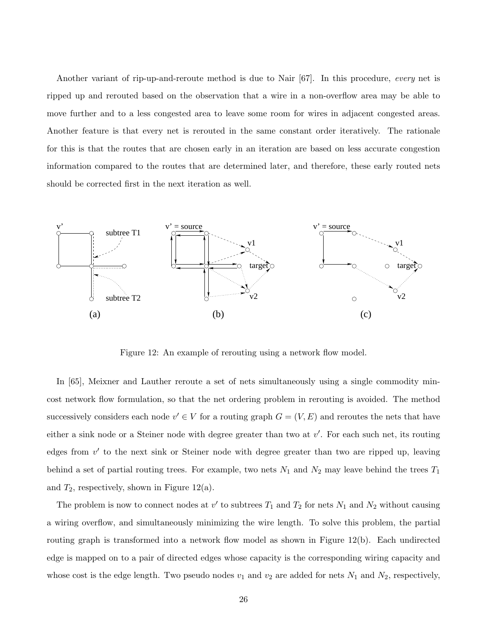Another variant of rip-up-and-reroute method is due to Nair [67]. In this procedure, every net is ripped up and rerouted based on the observation that a wire in a non-overflow area may be able to move further and to a less congested area to leave some room for wires in adjacent congested areas. Another feature is that every net is rerouted in the same constant order iteratively. The rationale for this is that the routes that are chosen early in an iteration are based on less accurate congestion information compared to the routes that are determined later, and therefore, these early routed nets should be corrected first in the next iteration as well.



Figure 12: An example of rerouting using a network flow model.

In [65], Meixner and Lauther reroute a set of nets simultaneously using a single commodity mincost network flow formulation, so that the net ordering problem in rerouting is avoided. The method successively considers each node  $v' \in V$  for a routing graph  $G = (V, E)$  and reroutes the nets that have either a sink node or a Steiner node with degree greater than two at  $v'$ . For each such net, its routing edges from v' to the next sink or Steiner node with degree greater than two are ripped up, leaving behind a set of partial routing trees. For example, two nets  $N_1$  and  $N_2$  may leave behind the trees  $T_1$ and  $T_2$ , respectively, shown in Figure 12(a).

The problem is now to connect nodes at  $v'$  to subtrees  $T_1$  and  $T_2$  for nets  $N_1$  and  $N_2$  without causing a wiring overflow, and simultaneously minimizing the wire length. To solve this problem, the partial routing graph is transformed into a network flow model as shown in Figure 12(b). Each undirected edge is mapped on to a pair of directed edges whose capacity is the corresponding wiring capacity and whose cost is the edge length. Two pseudo nodes  $v_1$  and  $v_2$  are added for nets  $N_1$  and  $N_2$ , respectively,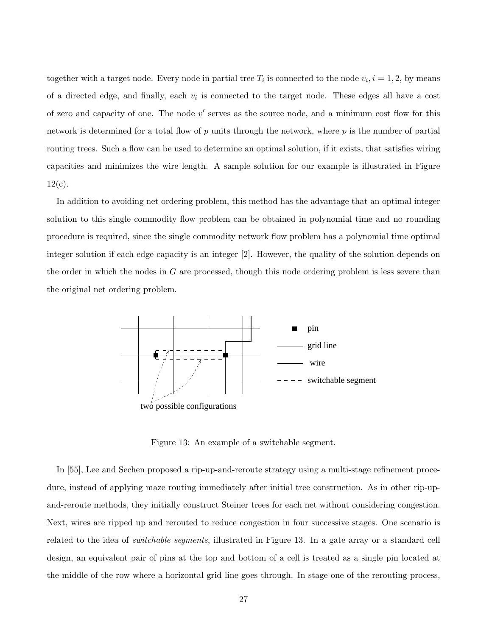together with a target node. Every node in partial tree  $T_i$  is connected to the node  $v_i$ ,  $i = 1, 2$ , by means of a directed edge, and finally, each  $v_i$  is connected to the target node. These edges all have a cost of zero and capacity of one. The node  $v'$  serves as the source node, and a minimum cost flow for this network is determined for a total flow of  $p$  units through the network, where  $p$  is the number of partial routing trees. Such a flow can be used to determine an optimal solution, if it exists, that satisfies wiring capacities and minimizes the wire length. A sample solution for our example is illustrated in Figure  $12(c)$ .

In addition to avoiding net ordering problem, this method has the advantage that an optimal integer solution to this single commodity flow problem can be obtained in polynomial time and no rounding procedure is required, since the single commodity network flow problem has a polynomial time optimal integer solution if each edge capacity is an integer [2]. However, the quality of the solution depends on the order in which the nodes in  $G$  are processed, though this node ordering problem is less severe than the original net ordering problem.



Figure 13: An example of a switchable segment.

In [55], Lee and Sechen proposed a rip-up-and-reroute strategy using a multi-stage refinement procedure, instead of applying maze routing immediately after initial tree construction. As in other rip-upand-reroute methods, they initially construct Steiner trees for each net without considering congestion. Next, wires are ripped up and rerouted to reduce congestion in four successive stages. One scenario is related to the idea of switchable segments, illustrated in Figure 13. In a gate array or a standard cell design, an equivalent pair of pins at the top and bottom of a cell is treated as a single pin located at the middle of the row where a horizontal grid line goes through. In stage one of the rerouting process,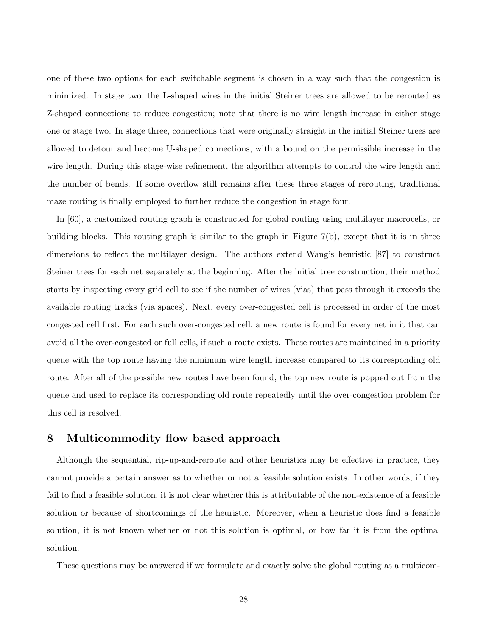one of these two options for each switchable segment is chosen in a way such that the congestion is minimized. In stage two, the L-shaped wires in the initial Steiner trees are allowed to be rerouted as Z-shaped connections to reduce congestion; note that there is no wire length increase in either stage one or stage two. In stage three, connections that were originally straight in the initial Steiner trees are allowed to detour and become U-shaped connections, with a bound on the permissible increase in the wire length. During this stage-wise refinement, the algorithm attempts to control the wire length and the number of bends. If some overflow still remains after these three stages of rerouting, traditional maze routing is finally employed to further reduce the congestion in stage four.

In [60], a customized routing graph is constructed for global routing using multilayer macrocells, or building blocks. This routing graph is similar to the graph in Figure 7(b), except that it is in three dimensions to reflect the multilayer design. The authors extend Wang's heuristic [87] to construct Steiner trees for each net separately at the beginning. After the initial tree construction, their method starts by inspecting every grid cell to see if the number of wires (vias) that pass through it exceeds the available routing tracks (via spaces). Next, every over-congested cell is processed in order of the most congested cell first. For each such over-congested cell, a new route is found for every net in it that can avoid all the over-congested or full cells, if such a route exists. These routes are maintained in a priority queue with the top route having the minimum wire length increase compared to its corresponding old route. After all of the possible new routes have been found, the top new route is popped out from the queue and used to replace its corresponding old route repeatedly until the over-congestion problem for this cell is resolved.

# 8 Multicommodity flow based approach

Although the sequential, rip-up-and-reroute and other heuristics may be effective in practice, they cannot provide a certain answer as to whether or not a feasible solution exists. In other words, if they fail to find a feasible solution, it is not clear whether this is attributable of the non-existence of a feasible solution or because of shortcomings of the heuristic. Moreover, when a heuristic does find a feasible solution, it is not known whether or not this solution is optimal, or how far it is from the optimal solution.

These questions may be answered if we formulate and exactly solve the global routing as a multicom-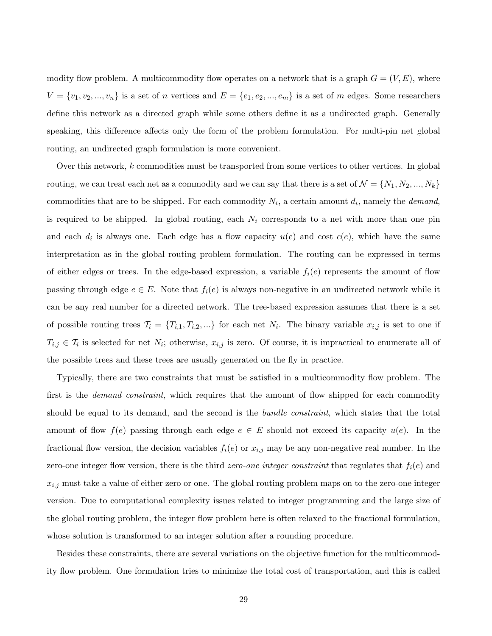modity flow problem. A multicommodity flow operates on a network that is a graph  $G = (V, E)$ , where  $V = \{v_1, v_2, ..., v_n\}$  is a set of n vertices and  $E = \{e_1, e_2, ..., e_m\}$  is a set of m edges. Some researchers define this network as a directed graph while some others define it as a undirected graph. Generally speaking, this difference affects only the form of the problem formulation. For multi-pin net global routing, an undirected graph formulation is more convenient.

Over this network, k commodities must be transported from some vertices to other vertices. In global routing, we can treat each net as a commodity and we can say that there is a set of  $\mathcal{N} = \{N_1, N_2, ..., N_k\}$ commodities that are to be shipped. For each commodity  $N_i$ , a certain amount  $d_i$ , namely the *demand*, is required to be shipped. In global routing, each  $N_i$  corresponds to a net with more than one pin and each  $d_i$  is always one. Each edge has a flow capacity  $u(e)$  and cost  $c(e)$ , which have the same interpretation as in the global routing problem formulation. The routing can be expressed in terms of either edges or trees. In the edge-based expression, a variable  $f_i(e)$  represents the amount of flow passing through edge  $e \in E$ . Note that  $f_i(e)$  is always non-negative in an undirected network while it can be any real number for a directed network. The tree-based expression assumes that there is a set of possible routing trees  $\mathcal{T}_i = \{T_{i,1}, T_{i,2}, ...\}$  for each net  $N_i$ . The binary variable  $x_{i,j}$  is set to one if  $T_{i,j} \in \mathcal{T}_i$  is selected for net  $N_i$ ; otherwise,  $x_{i,j}$  is zero. Of course, it is impractical to enumerate all of the possible trees and these trees are usually generated on the fly in practice.

Typically, there are two constraints that must be satisfied in a multicommodity flow problem. The first is the *demand constraint*, which requires that the amount of flow shipped for each commodity should be equal to its demand, and the second is the *bundle constraint*, which states that the total amount of flow  $f(e)$  passing through each edge  $e \in E$  should not exceed its capacity  $u(e)$ . In the fractional flow version, the decision variables  $f_i(e)$  or  $x_{i,j}$  may be any non-negative real number. In the zero-one integer flow version, there is the third *zero-one integer constraint* that regulates that  $f_i(e)$  and  $x_{i,j}$  must take a value of either zero or one. The global routing problem maps on to the zero-one integer version. Due to computational complexity issues related to integer programming and the large size of the global routing problem, the integer flow problem here is often relaxed to the fractional formulation, whose solution is transformed to an integer solution after a rounding procedure.

Besides these constraints, there are several variations on the objective function for the multicommodity flow problem. One formulation tries to minimize the total cost of transportation, and this is called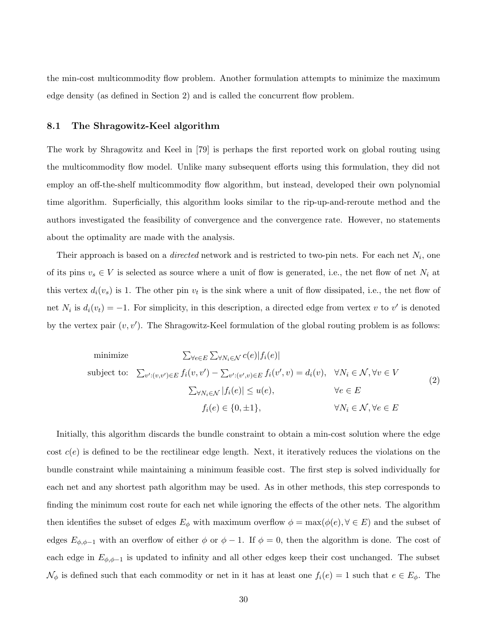the min-cost multicommodity flow problem. Another formulation attempts to minimize the maximum edge density (as defined in Section 2) and is called the concurrent flow problem.

### 8.1 The Shragowitz-Keel algorithm

The work by Shragowitz and Keel in [79] is perhaps the first reported work on global routing using the multicommodity flow model. Unlike many subsequent efforts using this formulation, they did not employ an off-the-shelf multicommodity flow algorithm, but instead, developed their own polynomial time algorithm. Superficially, this algorithm looks similar to the rip-up-and-reroute method and the authors investigated the feasibility of convergence and the convergence rate. However, no statements about the optimality are made with the analysis.

Their approach is based on a *directed* network and is restricted to two-pin nets. For each net  $N_i$ , one of its pins  $v_s \in V$  is selected as source where a unit of flow is generated, i.e., the net flow of net  $N_i$  at this vertex  $d_i(v_s)$  is 1. The other pin  $v_t$  is the sink where a unit of flow dissipated, i.e., the net flow of net  $N_i$  is  $d_i(v_t) = -1$ . For simplicity, in this description, a directed edge from vertex v to v' is denoted by the vertex pair  $(v, v')$ . The Shragowitz-Keel formulation of the global routing problem is as follows:

minimize 
$$
\sum_{\forall e \in E} \sum_{\forall N_i \in \mathcal{N}} c(e) |f_i(e)|
$$
  
subject to: 
$$
\sum_{v':(v,v') \in E} f_i(v,v') - \sum_{v':(v',v) \in E} f_i(v',v) = d_i(v), \quad \forall N_i \in \mathcal{N}, \forall v \in V
$$

$$
\sum_{\forall N_i \in \mathcal{N}} |f_i(e)| \le u(e), \qquad \forall e \in E
$$

$$
f_i(e) \in \{0, \pm 1\}, \qquad \forall N_i \in \mathcal{N}, \forall e \in E
$$

$$
(2)
$$

Initially, this algorithm discards the bundle constraint to obtain a min-cost solution where the edge cost  $c(e)$  is defined to be the rectilinear edge length. Next, it iteratively reduces the violations on the bundle constraint while maintaining a minimum feasible cost. The first step is solved individually for each net and any shortest path algorithm may be used. As in other methods, this step corresponds to finding the minimum cost route for each net while ignoring the effects of the other nets. The algorithm then identifies the subset of edges  $E_{\phi}$  with maximum overflow  $\phi = \max(\phi(e), \forall \in E)$  and the subset of edges  $E_{\phi, \phi-1}$  with an overflow of either  $\phi$  or  $\phi - 1$ . If  $\phi = 0$ , then the algorithm is done. The cost of each edge in  $E_{\phi, \phi-1}$  is updated to infinity and all other edges keep their cost unchanged. The subset  $\mathcal{N}_{\phi}$  is defined such that each commodity or net in it has at least one  $f_i(e) = 1$  such that  $e \in E_{\phi}$ . The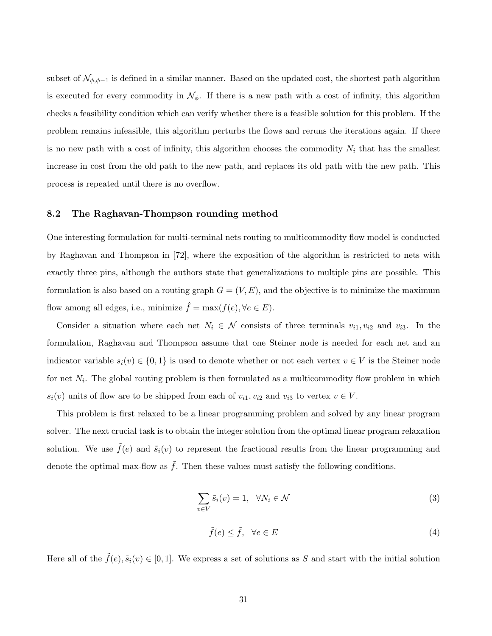subset of  $\mathcal{N}_{\phi,\phi-1}$  is defined in a similar manner. Based on the updated cost, the shortest path algorithm is executed for every commodity in  $\mathcal{N}_{\phi}$ . If there is a new path with a cost of infinity, this algorithm checks a feasibility condition which can verify whether there is a feasible solution for this problem. If the problem remains infeasible, this algorithm perturbs the flows and reruns the iterations again. If there is no new path with a cost of infinity, this algorithm chooses the commodity  $N_i$  that has the smallest increase in cost from the old path to the new path, and replaces its old path with the new path. This process is repeated until there is no overflow.

#### 8.2 The Raghavan-Thompson rounding method

One interesting formulation for multi-terminal nets routing to multicommodity flow model is conducted by Raghavan and Thompson in [72], where the exposition of the algorithm is restricted to nets with exactly three pins, although the authors state that generalizations to multiple pins are possible. This formulation is also based on a routing graph  $G = (V, E)$ , and the objective is to minimize the maximum flow among all edges, i.e., minimize  $\hat{f} = \max(f(e), \forall e \in E)$ .

Consider a situation where each net  $N_i \in \mathcal{N}$  consists of three terminals  $v_{i1}, v_{i2}$  and  $v_{i3}$ . In the formulation, Raghavan and Thompson assume that one Steiner node is needed for each net and an indicator variable  $s_i(v) \in \{0,1\}$  is used to denote whether or not each vertex  $v \in V$  is the Steiner node for net  $N_i$ . The global routing problem is then formulated as a multicommodity flow problem in which  $s_i(v)$  units of flow are to be shipped from each of  $v_{i1}, v_{i2}$  and  $v_{i3}$  to vertex  $v \in V$ .

This problem is first relaxed to be a linear programming problem and solved by any linear program solver. The next crucial task is to obtain the integer solution from the optimal linear program relaxation solution. We use  $\tilde{f}(e)$  and  $\tilde{s}_i(v)$  to represent the fractional results from the linear programming and denote the optimal max-flow as  $\tilde{f}$ . Then these values must satisfy the following conditions.

$$
\sum_{v \in V} \tilde{s}_i(v) = 1, \quad \forall N_i \in \mathcal{N}
$$
\n(3)

$$
\tilde{f}(e) \le \tilde{f}, \quad \forall e \in E \tag{4}
$$

Here all of the  $\tilde{f}(e), \tilde{s}_i(v) \in [0,1]$ . We express a set of solutions as S and start with the initial solution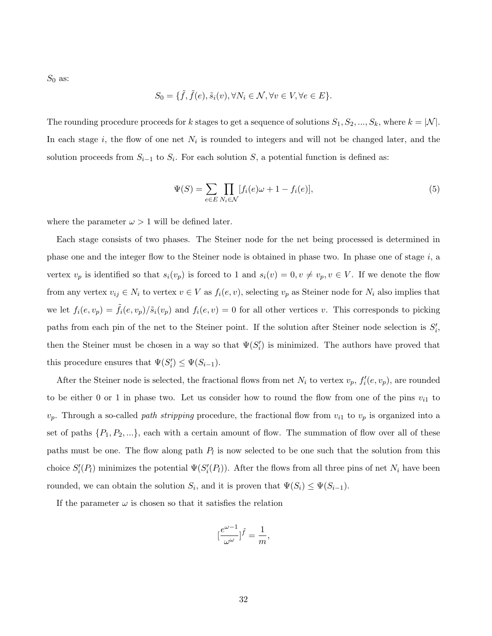$S_0$  as:

$$
S_0 = \{ \tilde{f}, \tilde{f}(e), \tilde{s}_i(v), \forall N_i \in \mathcal{N}, \forall v \in V, \forall e \in E \}.
$$

The rounding procedure proceeds for k stages to get a sequence of solutions  $S_1, S_2, ..., S_k$ , where  $k = |\mathcal{N}|$ . In each stage  $i$ , the flow of one net  $N_i$  is rounded to integers and will not be changed later, and the solution proceeds from  $S_{i-1}$  to  $S_i$ . For each solution S, a potential function is defined as:

$$
\Psi(S) = \sum_{e \in E} \prod_{N_i \in \mathcal{N}} [f_i(e)\omega + 1 - f_i(e)],\tag{5}
$$

where the parameter  $\omega > 1$  will be defined later.

Each stage consists of two phases. The Steiner node for the net being processed is determined in phase one and the integer flow to the Steiner node is obtained in phase two. In phase one of stage  $i$ , a vertex  $v_p$  is identified so that  $s_i(v_p)$  is forced to 1 and  $s_i(v) = 0, v \neq v_p, v \in V$ . If we denote the flow from any vertex  $v_{ij} \in N_i$  to vertex  $v \in V$  as  $f_i(e, v)$ , selecting  $v_p$  as Steiner node for  $N_i$  also implies that we let  $f_i(e, v_p) = \tilde{f}_i(e, v_p)/\tilde{s}_i(v_p)$  and  $f_i(e, v) = 0$  for all other vertices v. This corresponds to picking paths from each pin of the net to the Steiner point. If the solution after Steiner node selection is  $S_i'$ , then the Steiner must be chosen in a way so that  $\Psi(S_i')$  is minimized. The authors have proved that this procedure ensures that  $\Psi(S_i') \leq \Psi(S_{i-1})$ .

After the Steiner node is selected, the fractional flows from net  $N_i$  to vertex  $v_p$ ,  $f'_i(e, v_p)$ , are rounded to be either 0 or 1 in phase two. Let us consider how to round the flow from one of the pins  $v_{i1}$  to  $v_p$ . Through a so-called *path stripping* procedure, the fractional flow from  $v_{i1}$  to  $v_p$  is organized into a set of paths  $\{P_1, P_2, ...\}$ , each with a certain amount of flow. The summation of flow over all of these paths must be one. The flow along path  $P_l$  is now selected to be one such that the solution from this choice  $S_i'(P_l)$  minimizes the potential  $\Psi(S_i'(P_l))$ . After the flows from all three pins of net  $N_i$  have been rounded, we can obtain the solution  $S_i$ , and it is proven that  $\Psi(S_i) \leq \Psi(S_{i-1})$ .

If the parameter  $\omega$  is chosen so that it satisfies the relation

$$
[\frac{e^{\omega - 1}}{\omega^\omega}]^{\tilde{f}} = \frac{1}{m},
$$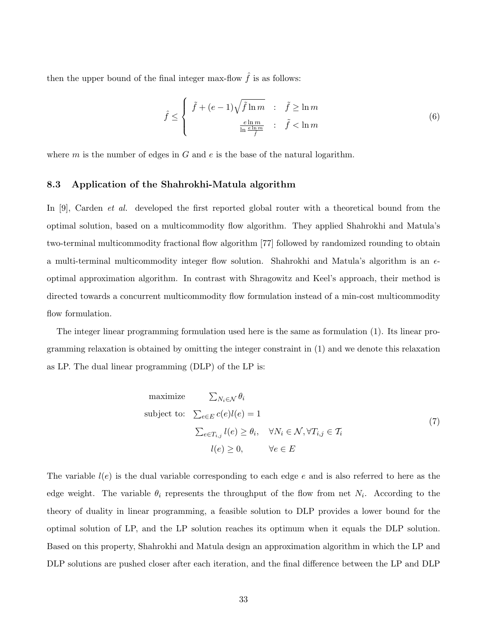then the upper bound of the final integer max-flow  $\hat{f}$  is as follows:

$$
\hat{f} \le \begin{cases}\n\tilde{f} + (e - 1)\sqrt{\tilde{f} \ln m} & \colon & \tilde{f} \ge \ln m \\
\frac{e \ln m}{\ln \frac{e \ln m}{\tilde{f}}} & \colon & \tilde{f} < \ln m\n\end{cases} \tag{6}
$$

where  $m$  is the number of edges in  $G$  and  $e$  is the base of the natural logarithm.

### 8.3 Application of the Shahrokhi-Matula algorithm

In [9], Carden *et al.* developed the first reported global router with a theoretical bound from the optimal solution, based on a multicommodity flow algorithm. They applied Shahrokhi and Matula's two-terminal multicommodity fractional flow algorithm [77] followed by randomized rounding to obtain a multi-terminal multicommodity integer flow solution. Shahrokhi and Matula's algorithm is an  $\epsilon$ optimal approximation algorithm. In contrast with Shragowitz and Keel's approach, their method is directed towards a concurrent multicommodity flow formulation instead of a min-cost multicommodity flow formulation.

The integer linear programming formulation used here is the same as formulation (1). Its linear programming relaxation is obtained by omitting the integer constraint in (1) and we denote this relaxation as LP. The dual linear programming (DLP) of the LP is:

maximize 
$$
\sum_{N_i \in \mathcal{N}} \theta_i
$$
  
\nsubject to:  $\sum_{e \in E} c(e)l(e) = 1$   
\n $\sum_{e \in T_{i,j}} l(e) \ge \theta_i$ ,  $\forall N_i \in \mathcal{N}, \forall T_{i,j} \in \mathcal{T}_i$   
\n $l(e) \ge 0$ ,  $\forall e \in E$  (7)

The variable  $l(e)$  is the dual variable corresponding to each edge e and is also referred to here as the edge weight. The variable  $\theta_i$  represents the throughput of the flow from net  $N_i$ . According to the theory of duality in linear programming, a feasible solution to DLP provides a lower bound for the optimal solution of LP, and the LP solution reaches its optimum when it equals the DLP solution. Based on this property, Shahrokhi and Matula design an approximation algorithm in which the LP and DLP solutions are pushed closer after each iteration, and the final difference between the LP and DLP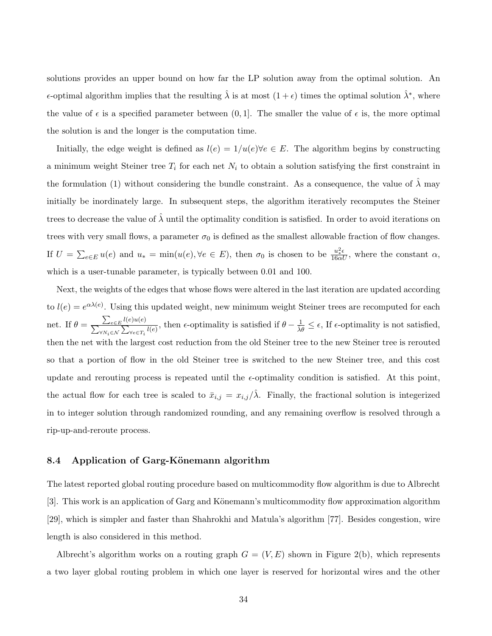solutions provides an upper bound on how far the LP solution away from the optimal solution. An  $\epsilon$ -optimal algorithm implies that the resulting  $\hat{\lambda}$  is at most  $(1+\epsilon)$  times the optimal solution  $\hat{\lambda}^*$ , where the value of  $\epsilon$  is a specified parameter between  $(0, 1]$ . The smaller the value of  $\epsilon$  is, the more optimal the solution is and the longer is the computation time.

Initially, the edge weight is defined as  $l(e) = 1/u(e) \forall e \in E$ . The algorithm begins by constructing a minimum weight Steiner tree  $T_i$  for each net  $N_i$  to obtain a solution satisfying the first constraint in the formulation (1) without considering the bundle constraint. As a consequence, the value of  $\lambda$  may initially be inordinately large. In subsequent steps, the algorithm iteratively recomputes the Steiner trees to decrease the value of  $\lambda$  until the optimality condition is satisfied. In order to avoid iterations on trees with very small flows, a parameter  $\sigma_0$  is defined as the smallest allowable fraction of flow changes. If  $U = \sum_{e \in E} u(e)$  and  $u_* = \min(u(e), \forall e \in E)$ , then  $\sigma_0$  is chosen to be  $\frac{u_*^2 \epsilon}{16 \alpha U}$ , where the constant  $\alpha$ , which is a user-tunable parameter, is typically between 0.01 and 100.

Next, the weights of the edges that whose flows were altered in the last iteration are updated according to  $l(e) = e^{\alpha \lambda(e)}$ . Using this updated weight, new minimum weight Steiner trees are recomputed for each net. If  $\theta = \frac{\sum_{e \in E}}{\sum_{\forall N \in \mathcal{N}}$  $l(e)u(e)$  $\frac{\sum_{e \in E} \iota(e) u(e)}{\sum_{\forall N_i \in \mathcal{N}} \sum_{\forall e \in T_i} l(e)},$  then  $\epsilon$ -optimality is satisfied if  $\theta - \frac{1}{\lambda \theta} \leq \epsilon$ , If  $\epsilon$ -optimality is not satisfied, then the net with the largest cost reduction from the old Steiner tree to the new Steiner tree is rerouted so that a portion of flow in the old Steiner tree is switched to the new Steiner tree, and this cost update and rerouting process is repeated until the  $\epsilon$ -optimality condition is satisfied. At this point, the actual flow for each tree is scaled to  $\bar{x}_{i,j} = x_{i,j}/\hat{\lambda}$ . Finally, the fractional solution is integerized in to integer solution through randomized rounding, and any remaining overflow is resolved through a rip-up-and-reroute process.

### 8.4 Application of Garg-Könemann algorithm

The latest reported global routing procedure based on multicommodity flow algorithm is due to Albrecht [3]. This work is an application of Garg and Könemann's multicommodity flow approximation algorithm [29], which is simpler and faster than Shahrokhi and Matula's algorithm [77]. Besides congestion, wire length is also considered in this method.

Albrecht's algorithm works on a routing graph  $G = (V, E)$  shown in Figure 2(b), which represents a two layer global routing problem in which one layer is reserved for horizontal wires and the other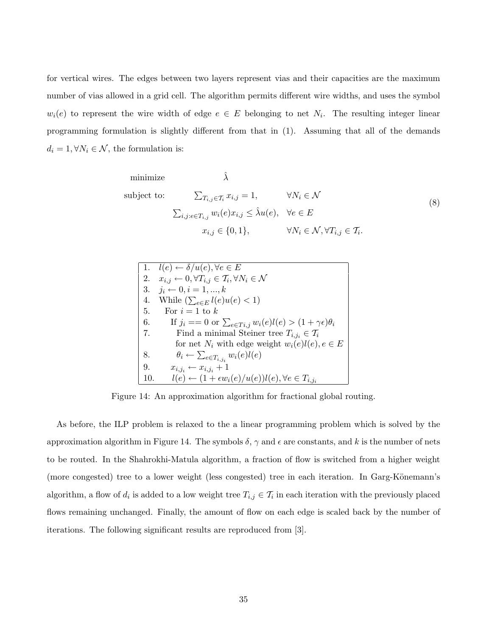for vertical wires. The edges between two layers represent vias and their capacities are the maximum number of vias allowed in a grid cell. The algorithm permits different wire widths, and uses the symbol  $w_i(e)$  to represent the wire width of edge  $e \in E$  belonging to net  $N_i$ . The resulting integer linear programming formulation is slightly different from that in (1). Assuming that all of the demands  $d_i = 1, \forall N_i \in \mathcal{N}$ , the formulation is:

minimize 
$$
\hat{\lambda}
$$
  
\nsubject to:  $\sum_{T_{i,j} \in \mathcal{T}_i} x_{i,j} = 1$ ,  $\forall N_i \in \mathcal{N}$   
\n $\sum_{i,j: e \in T_{i,j}} w_i(e) x_{i,j} \leq \hat{\lambda} u(e)$ ,  $\forall e \in E$   
\n $x_{i,j} \in \{0, 1\}$ ,  $\forall N_i \in \mathcal{N}, \forall T_{i,j} \in \mathcal{T}_i$ . (8)

 $l(e) \leftarrow \delta/u(e), \forall e \in E$ 2.  $x_{i,j} \leftarrow 0, \forall T_{i,j} \in \mathcal{T}_i, \forall N_i \in \mathcal{N}$ 3.  $j_i \leftarrow 0, i = 1, ..., k$ 4. While  $\left(\sum_{e \in E} l(e)u(e) < 1\right)$ 5. For  $i = 1$  to k 6. If  $j_i == 0$  or  $\sum_{e \in Ti, j} w_i(e)l(e) > (1 + \gamma \epsilon)\theta_i$ 7. Find a minimal Steiner tree  $T_{i,j_i} \in \mathcal{T}_i$ for net  $N_i$  with edge weight  $w_i(e)l(e), e \in E$ 8.  $\theta_i \leftarrow \sum_{e \in T_{i,j_i}} w_i(e) l(e)$ 9.  $x_{i,j_i} \leftarrow x_{i,j_i} + 1$ 10.  $l(e) \leftarrow (1 + \epsilon w_i(e)/u(e))l(e), \forall e \in T_{i,j_i}$ 

Figure 14: An approximation algorithm for fractional global routing.

As before, the ILP problem is relaxed to the a linear programming problem which is solved by the approximation algorithm in Figure 14. The symbols  $\delta$ ,  $\gamma$  and  $\epsilon$  are constants, and k is the number of nets to be routed. In the Shahrokhi-Matula algorithm, a fraction of flow is switched from a higher weight (more congested) tree to a lower weight (less congested) tree in each iteration. In Garg-Könemann's algorithm, a flow of  $d_i$  is added to a low weight tree  $T_{i,j} \in \mathcal{T}_i$  in each iteration with the previously placed flows remaining unchanged. Finally, the amount of flow on each edge is scaled back by the number of iterations. The following significant results are reproduced from [3].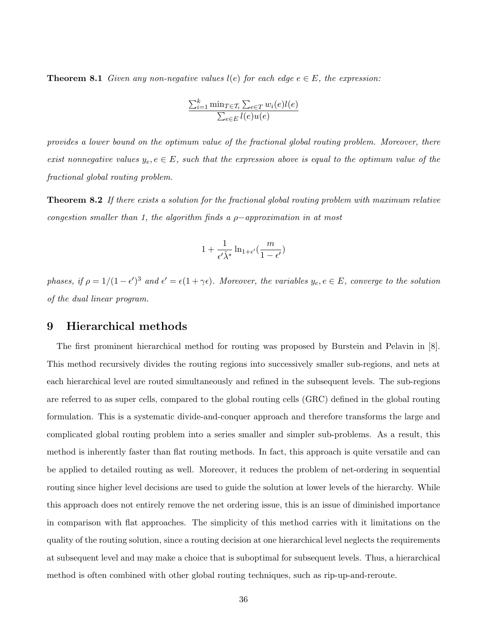**Theorem 8.1** Given any non-negative values  $l(e)$  for each edge  $e \in E$ , the expression:

$$
\frac{\sum_{i=1}^{k} \min_{T \in \mathcal{T}_i} \sum_{e \in T} w_i(e) l(e)}{\sum_{e \in E} l(e) u(e)}
$$

provides a lower bound on the optimum value of the fractional global routing problem. Moreover, there exist nonnegative values  $y_e, e \in E$ , such that the expression above is equal to the optimum value of the fractional global routing problem.

**Theorem 8.2** If there exists a solution for the fractional global routing problem with maximum relative congestion smaller than 1, the algorithm finds a  $\rho$ -approximation in at most

$$
1+\frac{1}{\epsilon'\hat{\lambda}^*}\ln_{1+\epsilon'}(\frac{m}{1-\epsilon'})
$$

phases, if  $\rho = 1/(1 - \epsilon')^3$  and  $\epsilon' = \epsilon (1 + \gamma \epsilon)$ . Moreover, the variables  $y_e, e \in E$ , converge to the solution of the dual linear program.

# 9 Hierarchical methods

The first prominent hierarchical method for routing was proposed by Burstein and Pelavin in [8]. This method recursively divides the routing regions into successively smaller sub-regions, and nets at each hierarchical level are routed simultaneously and refined in the subsequent levels. The sub-regions are referred to as super cells, compared to the global routing cells (GRC) defined in the global routing formulation. This is a systematic divide-and-conquer approach and therefore transforms the large and complicated global routing problem into a series smaller and simpler sub-problems. As a result, this method is inherently faster than flat routing methods. In fact, this approach is quite versatile and can be applied to detailed routing as well. Moreover, it reduces the problem of net-ordering in sequential routing since higher level decisions are used to guide the solution at lower levels of the hierarchy. While this approach does not entirely remove the net ordering issue, this is an issue of diminished importance in comparison with flat approaches. The simplicity of this method carries with it limitations on the quality of the routing solution, since a routing decision at one hierarchical level neglects the requirements at subsequent level and may make a choice that is suboptimal for subsequent levels. Thus, a hierarchical method is often combined with other global routing techniques, such as rip-up-and-reroute.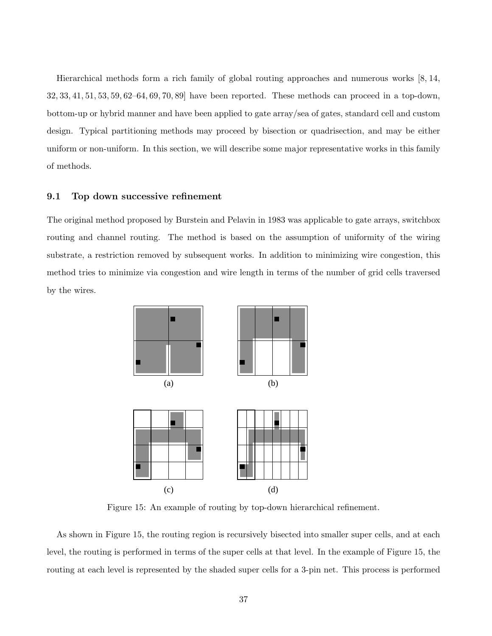Hierarchical methods form a rich family of global routing approaches and numerous works [8, 14, 32, 33, 41, 51, 53, 59, 62–64, 69, 70, 89] have been reported. These methods can proceed in a top-down, bottom-up or hybrid manner and have been applied to gate array/sea of gates, standard cell and custom design. Typical partitioning methods may proceed by bisection or quadrisection, and may be either uniform or non-uniform. In this section, we will describe some major representative works in this family of methods.

#### 9.1 Top down successive refinement

The original method proposed by Burstein and Pelavin in 1983 was applicable to gate arrays, switchbox routing and channel routing. The method is based on the assumption of uniformity of the wiring substrate, a restriction removed by subsequent works. In addition to minimizing wire congestion, this method tries to minimize via congestion and wire length in terms of the number of grid cells traversed by the wires.



Figure 15: An example of routing by top-down hierarchical refinement.

As shown in Figure 15, the routing region is recursively bisected into smaller super cells, and at each level, the routing is performed in terms of the super cells at that level. In the example of Figure 15, the routing at each level is represented by the shaded super cells for a 3-pin net. This process is performed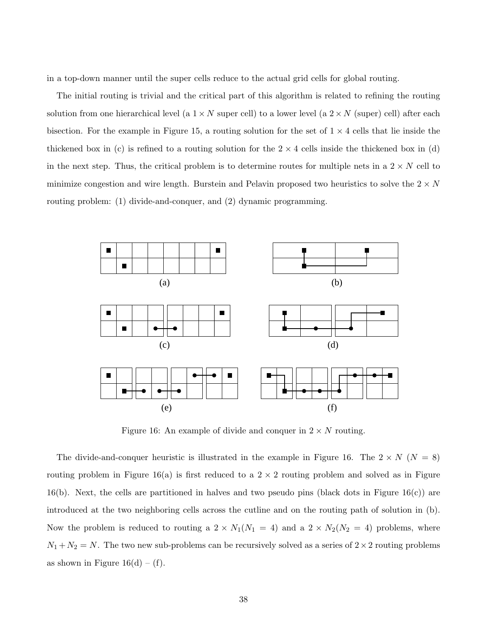in a top-down manner until the super cells reduce to the actual grid cells for global routing.

The initial routing is trivial and the critical part of this algorithm is related to refining the routing solution from one hierarchical level (a  $1 \times N$  super cell) to a lower level (a  $2 \times N$  (super) cell) after each bisection. For the example in Figure 15, a routing solution for the set of  $1 \times 4$  cells that lie inside the thickened box in (c) is refined to a routing solution for the  $2 \times 4$  cells inside the thickened box in (d) in the next step. Thus, the critical problem is to determine routes for multiple nets in a  $2 \times N$  cell to minimize congestion and wire length. Burstein and Pelavin proposed two heuristics to solve the  $2 \times N$ routing problem: (1) divide-and-conquer, and (2) dynamic programming.



Figure 16: An example of divide and conquer in  $2 \times N$  routing.

The divide-and-conquer heuristic is illustrated in the example in Figure 16. The  $2 \times N$  ( $N = 8$ ) routing problem in Figure 16(a) is first reduced to a  $2 \times 2$  routing problem and solved as in Figure  $16(b)$ . Next, the cells are partitioned in halves and two pseudo pins (black dots in Figure  $16(c)$ ) are introduced at the two neighboring cells across the cutline and on the routing path of solution in (b). Now the problem is reduced to routing a  $2 \times N_1(N_1 = 4)$  and a  $2 \times N_2(N_2 = 4)$  problems, where  $N_1 + N_2 = N$ . The two new sub-problems can be recursively solved as a series of  $2 \times 2$  routing problems as shown in Figure  $16(d) - (f)$ .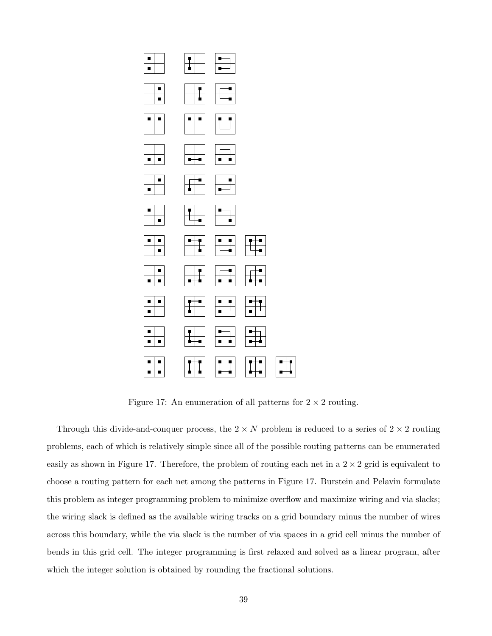

Figure 17: An enumeration of all patterns for  $2 \times 2$  routing.

Through this divide-and-conquer process, the  $2 \times N$  problem is reduced to a series of  $2 \times 2$  routing problems, each of which is relatively simple since all of the possible routing patterns can be enumerated easily as shown in Figure 17. Therefore, the problem of routing each net in a  $2 \times 2$  grid is equivalent to choose a routing pattern for each net among the patterns in Figure 17. Burstein and Pelavin formulate this problem as integer programming problem to minimize overflow and maximize wiring and via slacks; the wiring slack is defined as the available wiring tracks on a grid boundary minus the number of wires across this boundary, while the via slack is the number of via spaces in a grid cell minus the number of bends in this grid cell. The integer programming is first relaxed and solved as a linear program, after which the integer solution is obtained by rounding the fractional solutions.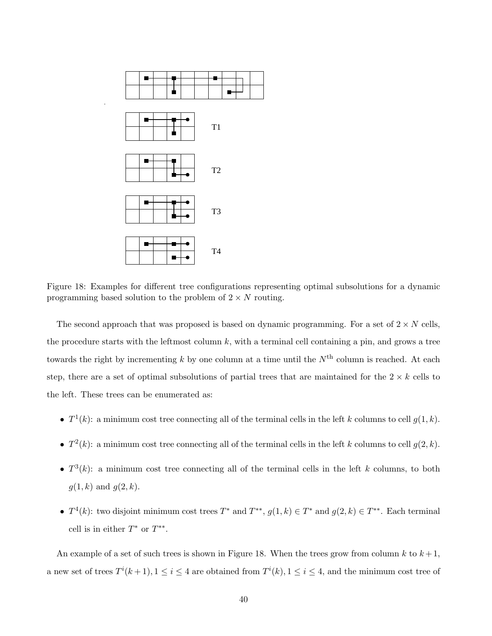

Figure 18: Examples for different tree configurations representing optimal subsolutions for a dynamic programming based solution to the problem of  $2 \times N$  routing.

The second approach that was proposed is based on dynamic programming. For a set of  $2 \times N$  cells, the procedure starts with the leftmost column  $k$ , with a terminal cell containing a pin, and grows a tree towards the right by incrementing k by one column at a time until the  $N<sup>th</sup>$  column is reached. At each step, there are a set of optimal subsolutions of partial trees that are maintained for the  $2 \times k$  cells to the left. These trees can be enumerated as:

- $T^1(k)$ : a minimum cost tree connecting all of the terminal cells in the left k columns to cell  $g(1, k)$ .
- $T^2(k)$ : a minimum cost tree connecting all of the terminal cells in the left k columns to cell  $g(2, k)$ .
- $T^3(k)$ : a minimum cost tree connecting all of the terminal cells in the left k columns, to both  $g(1, k)$  and  $g(2, k)$ .
- $T^4(k)$ : two disjoint minimum cost trees  $T^*$  and  $T^{**}$ ,  $g(1,k) \in T^*$  and  $g(2,k) \in T^{**}$ . Each terminal cell is in either  $T^*$  or  $T^{**}$ .

An example of a set of such trees is shown in Figure 18. When the trees grow from column  $k$  to  $k+1$ , a new set of trees  $T^{i}(k+1)$ ,  $1 \leq i \leq 4$  are obtained from  $T^{i}(k)$ ,  $1 \leq i \leq 4$ , and the minimum cost tree of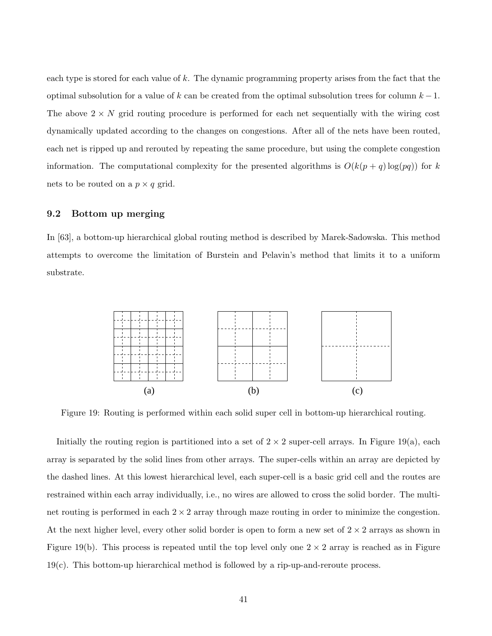each type is stored for each value of  $k$ . The dynamic programming property arises from the fact that the optimal subsolution for a value of k can be created from the optimal subsolution trees for column  $k-1$ . The above  $2 \times N$  grid routing procedure is performed for each net sequentially with the wiring cost dynamically updated according to the changes on congestions. After all of the nets have been routed, each net is ripped up and rerouted by repeating the same procedure, but using the complete congestion information. The computational complexity for the presented algorithms is  $O(k(p + q) \log(pq))$  for k nets to be routed on a  $p \times q$  grid.

### 9.2 Bottom up merging

In [63], a bottom-up hierarchical global routing method is described by Marek-Sadowska. This method attempts to overcome the limitation of Burstein and Pelavin's method that limits it to a uniform substrate.



Figure 19: Routing is performed within each solid super cell in bottom-up hierarchical routing.

Initially the routing region is partitioned into a set of  $2 \times 2$  super-cell arrays. In Figure 19(a), each array is separated by the solid lines from other arrays. The super-cells within an array are depicted by the dashed lines. At this lowest hierarchical level, each super-cell is a basic grid cell and the routes are restrained within each array individually, i.e., no wires are allowed to cross the solid border. The multinet routing is performed in each  $2 \times 2$  array through maze routing in order to minimize the congestion. At the next higher level, every other solid border is open to form a new set of  $2 \times 2$  arrays as shown in Figure 19(b). This process is repeated until the top level only one  $2 \times 2$  array is reached as in Figure  $19(c)$ . This bottom-up hierarchical method is followed by a rip-up-and-reroute process.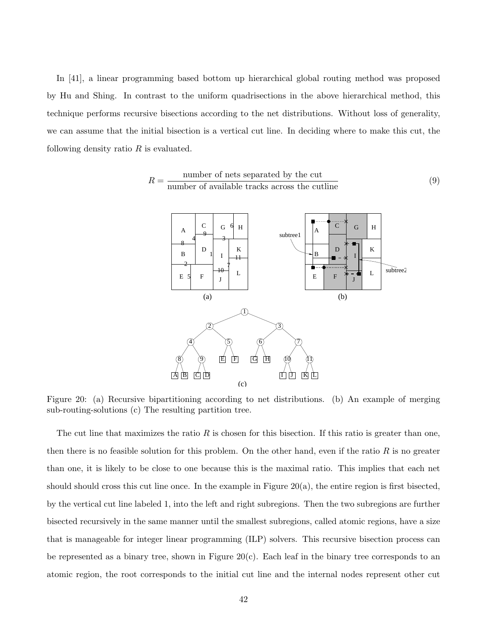In [41], a linear programming based bottom up hierarchical global routing method was proposed by Hu and Shing. In contrast to the uniform quadrisections in the above hierarchical method, this technique performs recursive bisections according to the net distributions. Without loss of generality, we can assume that the initial bisection is a vertical cut line. In deciding where to make this cut, the following density ratio  $R$  is evaluated.

$$
R = \frac{\text{number of nets separated by the cut}}{\text{number of available tracks across the cutline}}
$$
(9)



Figure 20: (a) Recursive bipartitioning according to net distributions. (b) An example of merging sub-routing-solutions (c) The resulting partition tree.

The cut line that maximizes the ratio  $R$  is chosen for this bisection. If this ratio is greater than one, then there is no feasible solution for this problem. On the other hand, even if the ratio  $R$  is no greater than one, it is likely to be close to one because this is the maximal ratio. This implies that each net should should cross this cut line once. In the example in Figure 20(a), the entire region is first bisected, by the vertical cut line labeled 1, into the left and right subregions. Then the two subregions are further bisected recursively in the same manner until the smallest subregions, called atomic regions, have a size that is manageable for integer linear programming (ILP) solvers. This recursive bisection process can be represented as a binary tree, shown in Figure  $20(c)$ . Each leaf in the binary tree corresponds to an atomic region, the root corresponds to the initial cut line and the internal nodes represent other cut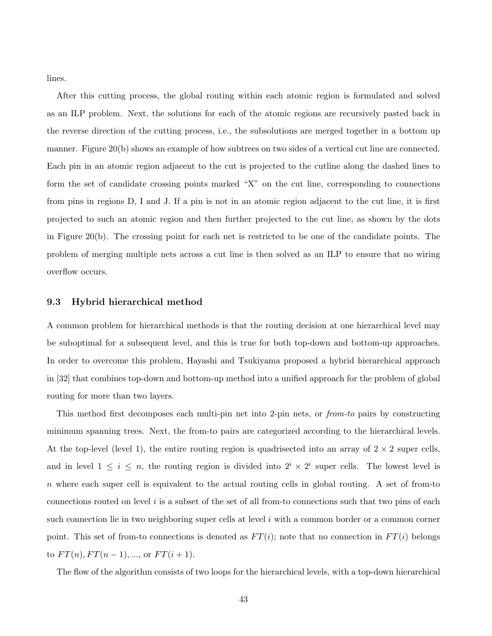lines.

After this cutting process, the global routing within each atomic region is formulated and solved as an ILP problem. Next, the solutions for each of the atomic regions are recursively pasted back in the reverse direction of the cutting process, i.e., the subsolutions are merged together in a bottom up manner. Figure 20(b) shows an example of how subtrees on two sides of a vertical cut line are connected. Each pin in an atomic region adjacent to the cut is projected to the cutline along the dashed lines to form the set of candidate crossing points marked "X" on the cut line, corresponding to connections from pins in regions D, I and J. If a pin is not in an atomic region adjacent to the cut line, it is first projected to such an atomic region and then further projected to the cut line, as shown by the dots in Figure 20(b). The crossing point for each net is restricted to be one of the candidate points. The problem of merging multiple nets across a cut line is then solved as an ILP to ensure that no wiring overflow occurs.

#### 9.3 Hybrid hierarchical method

A common problem for hierarchical methods is that the routing decision at one hierarchical level may be suboptimal for a subsequent level, and this is true for both top-down and bottom-up approaches. In order to overcome this problem, Hayashi and Tsukiyama proposed a hybrid hierarchical approach in [32] that combines top-down and bottom-up method into a unified approach for the problem of global routing for more than two layers.

This method first decomposes each multi-pin net into 2-pin nets, or from-to pairs by constructing minimum spanning trees. Next, the from-to pairs are categorized according to the hierarchical levels. At the top-level (level 1), the entire routing region is quadrisected into an array of  $2 \times 2$  super cells, and in level  $1 \leq i \leq n$ , the routing region is divided into  $2^i \times 2^i$  super cells. The lowest level is n where each super cell is equivalent to the actual routing cells in global routing. A set of from-to connections routed on level i is a subset of the set of all from-to connections such that two pins of each such connection lie in two neighboring super cells at level i with a common border or a common corner point. This set of from-to connections is denoted as  $FT(i)$ ; note that no connection in  $FT(i)$  belongs to  $FT(n), FT(n - 1), ...,$  or  $FT(i + 1)$ .

The flow of the algorithm consists of two loops for the hierarchical levels, with a top-down hierarchical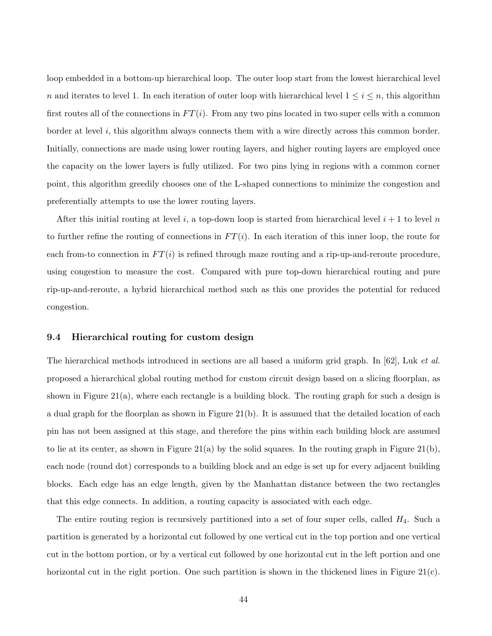loop embedded in a bottom-up hierarchical loop. The outer loop start from the lowest hierarchical level n and iterates to level 1. In each iteration of outer loop with hierarchical level  $1 \le i \le n$ , this algorithm first routes all of the connections in  $FT(i)$ . From any two pins located in two super cells with a common border at level i, this algorithm always connects them with a wire directly across this common border. Initially, connections are made using lower routing layers, and higher routing layers are employed once the capacity on the lower layers is fully utilized. For two pins lying in regions with a common corner point, this algorithm greedily chooses one of the L-shaped connections to minimize the congestion and preferentially attempts to use the lower routing layers.

After this initial routing at level i, a top-down loop is started from hierarchical level  $i + 1$  to level n to further refine the routing of connections in  $FT(i)$ . In each iteration of this inner loop, the route for each from-to connection in  $FT(i)$  is refined through maze routing and a rip-up-and-reroute procedure, using congestion to measure the cost. Compared with pure top-down hierarchical routing and pure rip-up-and-reroute, a hybrid hierarchical method such as this one provides the potential for reduced congestion.

### 9.4 Hierarchical routing for custom design

The hierarchical methods introduced in sections are all based a uniform grid graph. In [62], Luk et al. proposed a hierarchical global routing method for custom circuit design based on a slicing floorplan, as shown in Figure 21(a), where each rectangle is a building block. The routing graph for such a design is a dual graph for the floorplan as shown in Figure 21(b). It is assumed that the detailed location of each pin has not been assigned at this stage, and therefore the pins within each building block are assumed to lie at its center, as shown in Figure 21(a) by the solid squares. In the routing graph in Figure 21(b), each node (round dot) corresponds to a building block and an edge is set up for every adjacent building blocks. Each edge has an edge length, given by the Manhattan distance between the two rectangles that this edge connects. In addition, a routing capacity is associated with each edge.

The entire routing region is recursively partitioned into a set of four super cells, called  $H_4$ . Such a partition is generated by a horizontal cut followed by one vertical cut in the top portion and one vertical cut in the bottom portion, or by a vertical cut followed by one horizontal cut in the left portion and one horizontal cut in the right portion. One such partition is shown in the thickened lines in Figure 21(c).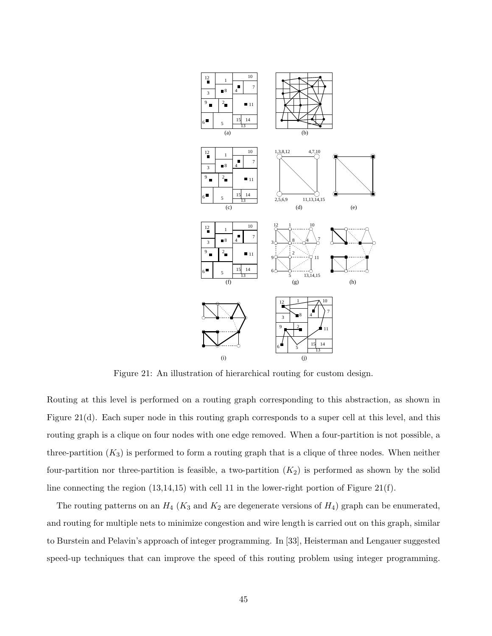

Figure 21: An illustration of hierarchical routing for custom design.

Routing at this level is performed on a routing graph corresponding to this abstraction, as shown in Figure 21(d). Each super node in this routing graph corresponds to a super cell at this level, and this routing graph is a clique on four nodes with one edge removed. When a four-partition is not possible, a three-partition  $(K_3)$  is performed to form a routing graph that is a clique of three nodes. When neither four-partition nor three-partition is feasible, a two-partition  $(K_2)$  is performed as shown by the solid line connecting the region  $(13,14,15)$  with cell 11 in the lower-right portion of Figure 21(f).

The routing patterns on an  $H_4$  ( $K_3$  and  $K_2$  are degenerate versions of  $H_4$ ) graph can be enumerated, and routing for multiple nets to minimize congestion and wire length is carried out on this graph, similar to Burstein and Pelavin's approach of integer programming. In [33], Heisterman and Lengauer suggested speed-up techniques that can improve the speed of this routing problem using integer programming.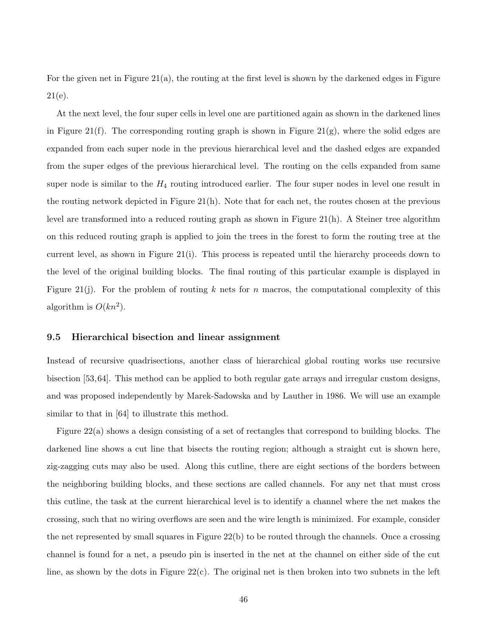For the given net in Figure 21(a), the routing at the first level is shown by the darkened edges in Figure 21(e).

At the next level, the four super cells in level one are partitioned again as shown in the darkened lines in Figure 21(f). The corresponding routing graph is shown in Figure 21(g), where the solid edges are expanded from each super node in the previous hierarchical level and the dashed edges are expanded from the super edges of the previous hierarchical level. The routing on the cells expanded from same super node is similar to the  $H_4$  routing introduced earlier. The four super nodes in level one result in the routing network depicted in Figure 21(h). Note that for each net, the routes chosen at the previous level are transformed into a reduced routing graph as shown in Figure 21(h). A Steiner tree algorithm on this reduced routing graph is applied to join the trees in the forest to form the routing tree at the current level, as shown in Figure 21(i). This process is repeated until the hierarchy proceeds down to the level of the original building blocks. The final routing of this particular example is displayed in Figure 21(j). For the problem of routing k nets for n macros, the computational complexity of this algorithm is  $O(kn^2)$ .

#### 9.5 Hierarchical bisection and linear assignment

Instead of recursive quadrisections, another class of hierarchical global routing works use recursive bisection [53,64]. This method can be applied to both regular gate arrays and irregular custom designs, and was proposed independently by Marek-Sadowska and by Lauther in 1986. We will use an example similar to that in [64] to illustrate this method.

Figure 22(a) shows a design consisting of a set of rectangles that correspond to building blocks. The darkened line shows a cut line that bisects the routing region; although a straight cut is shown here, zig-zagging cuts may also be used. Along this cutline, there are eight sections of the borders between the neighboring building blocks, and these sections are called channels. For any net that must cross this cutline, the task at the current hierarchical level is to identify a channel where the net makes the crossing, such that no wiring overflows are seen and the wire length is minimized. For example, consider the net represented by small squares in Figure 22(b) to be routed through the channels. Once a crossing channel is found for a net, a pseudo pin is inserted in the net at the channel on either side of the cut line, as shown by the dots in Figure  $22(c)$ . The original net is then broken into two subnets in the left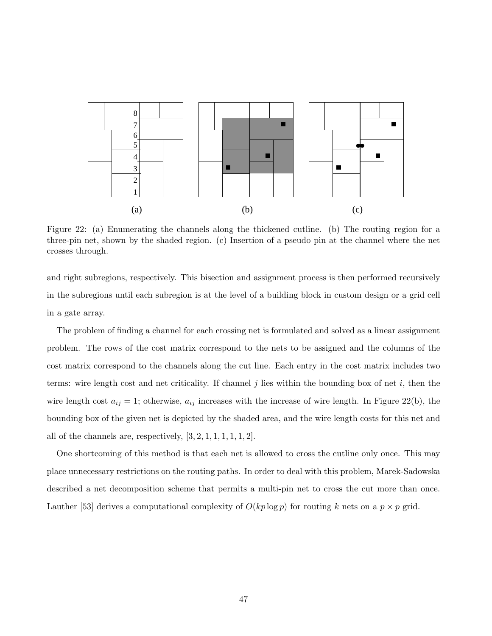

Figure 22: (a) Enumerating the channels along the thickened cutline. (b) The routing region for a three-pin net, shown by the shaded region. (c) Insertion of a pseudo pin at the channel where the net crosses through.

and right subregions, respectively. This bisection and assignment process is then performed recursively in the subregions until each subregion is at the level of a building block in custom design or a grid cell in a gate array.

The problem of finding a channel for each crossing net is formulated and solved as a linear assignment problem. The rows of the cost matrix correspond to the nets to be assigned and the columns of the cost matrix correspond to the channels along the cut line. Each entry in the cost matrix includes two terms: wire length cost and net criticality. If channel j lies within the bounding box of net  $i$ , then the wire length cost  $a_{ij} = 1$ ; otherwise,  $a_{ij}$  increases with the increase of wire length. In Figure 22(b), the bounding box of the given net is depicted by the shaded area, and the wire length costs for this net and all of the channels are, respectively,  $[3, 2, 1, 1, 1, 1, 1, 2]$ .

One shortcoming of this method is that each net is allowed to cross the cutline only once. This may place unnecessary restrictions on the routing paths. In order to deal with this problem, Marek-Sadowska described a net decomposition scheme that permits a multi-pin net to cross the cut more than once. Lauther [53] derives a computational complexity of  $O(kp\log p)$  for routing k nets on a  $p \times p$  grid.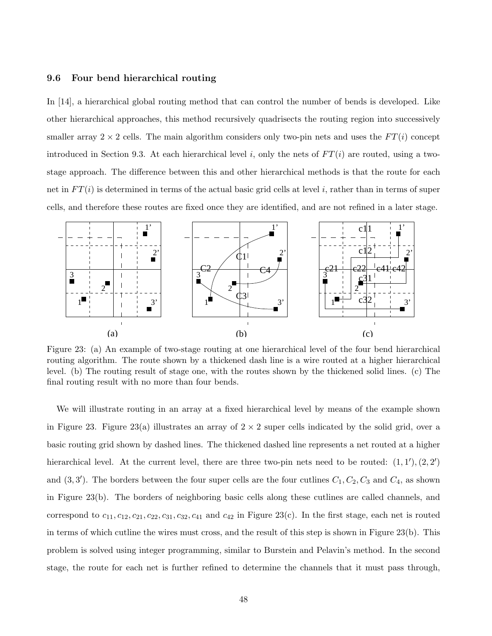#### 9.6 Four bend hierarchical routing

In [14], a hierarchical global routing method that can control the number of bends is developed. Like other hierarchical approaches, this method recursively quadrisects the routing region into successively smaller array  $2 \times 2$  cells. The main algorithm considers only two-pin nets and uses the  $FT(i)$  concept introduced in Section 9.3. At each hierarchical level i, only the nets of  $FT(i)$  are routed, using a twostage approach. The difference between this and other hierarchical methods is that the route for each net in  $FT(i)$  is determined in terms of the actual basic grid cells at level i, rather than in terms of super cells, and therefore these routes are fixed once they are identified, and are not refined in a later stage.



Figure 23: (a) An example of two-stage routing at one hierarchical level of the four bend hierarchical routing algorithm. The route shown by a thickened dash line is a wire routed at a higher hierarchical level. (b) The routing result of stage one, with the routes shown by the thickened solid lines. (c) The final routing result with no more than four bends.

We will illustrate routing in an array at a fixed hierarchical level by means of the example shown in Figure 23. Figure 23(a) illustrates an array of  $2 \times 2$  super cells indicated by the solid grid, over a basic routing grid shown by dashed lines. The thickened dashed line represents a net routed at a higher hierarchical level. At the current level, there are three two-pin nets need to be routed:  $(1,1'), (2,2')$ and  $(3,3')$ . The borders between the four super cells are the four cutlines  $C_1, C_2, C_3$  and  $C_4$ , as shown in Figure 23(b). The borders of neighboring basic cells along these cutlines are called channels, and correspond to  $c_{11}, c_{12}, c_{21}, c_{22}, c_{31}, c_{32}, c_{41}$  and  $c_{42}$  in Figure 23(c). In the first stage, each net is routed in terms of which cutline the wires must cross, and the result of this step is shown in Figure 23(b). This problem is solved using integer programming, similar to Burstein and Pelavin's method. In the second stage, the route for each net is further refined to determine the channels that it must pass through,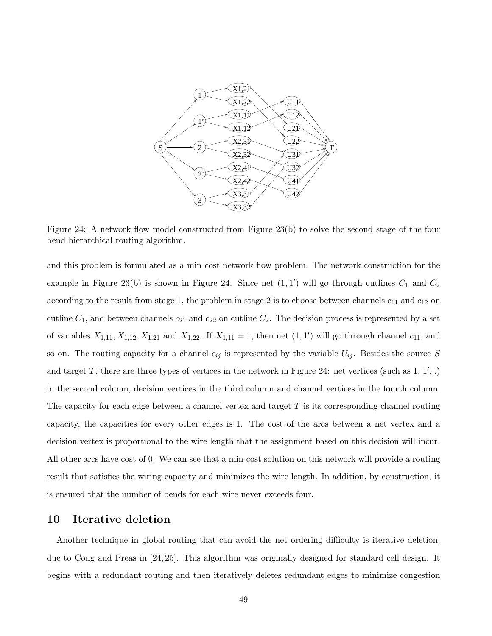

Figure 24: A network flow model constructed from Figure 23(b) to solve the second stage of the four bend hierarchical routing algorithm.

and this problem is formulated as a min cost network flow problem. The network construction for the example in Figure 23(b) is shown in Figure 24. Since net  $(1,1')$  will go through cutlines  $C_1$  and  $C_2$ according to the result from stage 1, the problem in stage 2 is to choose between channels  $c_{11}$  and  $c_{12}$  on cutline  $C_1$ , and between channels  $c_{21}$  and  $c_{22}$  on cutline  $C_2$ . The decision process is represented by a set of variables  $X_{1,11}, X_{1,12}, X_{1,21}$  and  $X_{1,22}$ . If  $X_{1,11} = 1$ , then net  $(1,1')$  will go through channel  $c_{11}$ , and so on. The routing capacity for a channel  $c_{ij}$  is represented by the variable  $U_{ij}$ . Besides the source S and target  $T$ , there are three types of vertices in the network in Figure 24: net vertices (such as  $1, 1'...$ ) in the second column, decision vertices in the third column and channel vertices in the fourth column. The capacity for each edge between a channel vertex and target  $T$  is its corresponding channel routing capacity, the capacities for every other edges is 1. The cost of the arcs between a net vertex and a decision vertex is proportional to the wire length that the assignment based on this decision will incur. All other arcs have cost of 0. We can see that a min-cost solution on this network will provide a routing result that satisfies the wiring capacity and minimizes the wire length. In addition, by construction, it is ensured that the number of bends for each wire never exceeds four.

### 10 Iterative deletion

Another technique in global routing that can avoid the net ordering difficulty is iterative deletion, due to Cong and Preas in [24, 25]. This algorithm was originally designed for standard cell design. It begins with a redundant routing and then iteratively deletes redundant edges to minimize congestion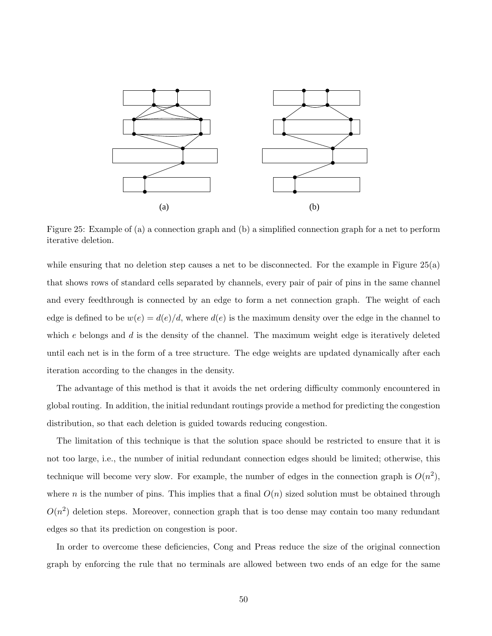

Figure 25: Example of (a) a connection graph and (b) a simplified connection graph for a net to perform iterative deletion.

while ensuring that no deletion step causes a net to be disconnected. For the example in Figure 25(a) that shows rows of standard cells separated by channels, every pair of pair of pins in the same channel and every feedthrough is connected by an edge to form a net connection graph. The weight of each edge is defined to be  $w(e) = d(e)/d$ , where  $d(e)$  is the maximum density over the edge in the channel to which  $e$  belongs and  $d$  is the density of the channel. The maximum weight edge is iteratively deleted until each net is in the form of a tree structure. The edge weights are updated dynamically after each iteration according to the changes in the density.

The advantage of this method is that it avoids the net ordering difficulty commonly encountered in global routing. In addition, the initial redundant routings provide a method for predicting the congestion distribution, so that each deletion is guided towards reducing congestion.

The limitation of this technique is that the solution space should be restricted to ensure that it is not too large, i.e., the number of initial redundant connection edges should be limited; otherwise, this technique will become very slow. For example, the number of edges in the connection graph is  $O(n^2)$ , where n is the number of pins. This implies that a final  $O(n)$  sized solution must be obtained through  $O(n^2)$  deletion steps. Moreover, connection graph that is too dense may contain too many redundant edges so that its prediction on congestion is poor.

In order to overcome these deficiencies, Cong and Preas reduce the size of the original connection graph by enforcing the rule that no terminals are allowed between two ends of an edge for the same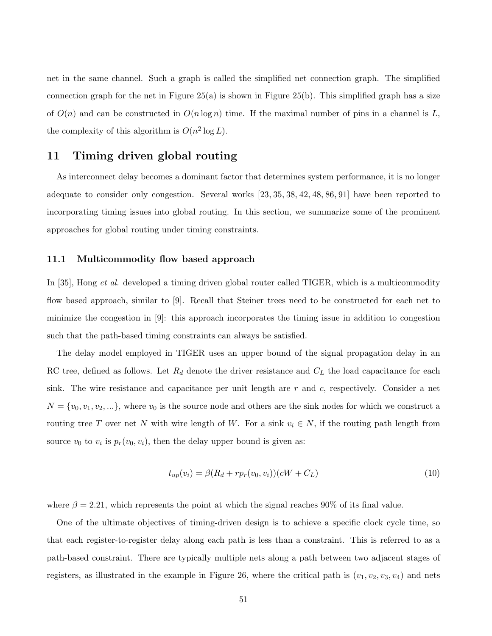net in the same channel. Such a graph is called the simplified net connection graph. The simplified connection graph for the net in Figure  $25(a)$  is shown in Figure  $25(b)$ . This simplified graph has a size of  $O(n)$  and can be constructed in  $O(n \log n)$  time. If the maximal number of pins in a channel is L, the complexity of this algorithm is  $O(n^2 \log L)$ .

# 11 Timing driven global routing

As interconnect delay becomes a dominant factor that determines system performance, it is no longer adequate to consider only congestion. Several works [23, 35, 38, 42, 48, 86, 91] have been reported to incorporating timing issues into global routing. In this section, we summarize some of the prominent approaches for global routing under timing constraints.

### 11.1 Multicommodity flow based approach

In [35], Hong *et al.* developed a timing driven global router called TIGER, which is a multicommodity flow based approach, similar to [9]. Recall that Steiner trees need to be constructed for each net to minimize the congestion in [9]: this approach incorporates the timing issue in addition to congestion such that the path-based timing constraints can always be satisfied.

The delay model employed in TIGER uses an upper bound of the signal propagation delay in an RC tree, defined as follows. Let  $R_d$  denote the driver resistance and  $C_L$  the load capacitance for each sink. The wire resistance and capacitance per unit length are  $r$  and  $c$ , respectively. Consider a net  $N = \{v_0, v_1, v_2, ...\}$ , where  $v_0$  is the source node and others are the sink nodes for which we construct a routing tree T over net N with wire length of W. For a sink  $v_i \in N$ , if the routing path length from source  $v_0$  to  $v_i$  is  $p_r(v_0, v_i)$ , then the delay upper bound is given as:

$$
t_{up}(v_i) = \beta (R_d + r p_r(v_0, v_i))(cW + C_L)
$$
\n(10)

where  $\beta = 2.21$ , which represents the point at which the signal reaches 90% of its final value.

One of the ultimate objectives of timing-driven design is to achieve a specific clock cycle time, so that each register-to-register delay along each path is less than a constraint. This is referred to as a path-based constraint. There are typically multiple nets along a path between two adjacent stages of registers, as illustrated in the example in Figure 26, where the critical path is  $(v_1, v_2, v_3, v_4)$  and nets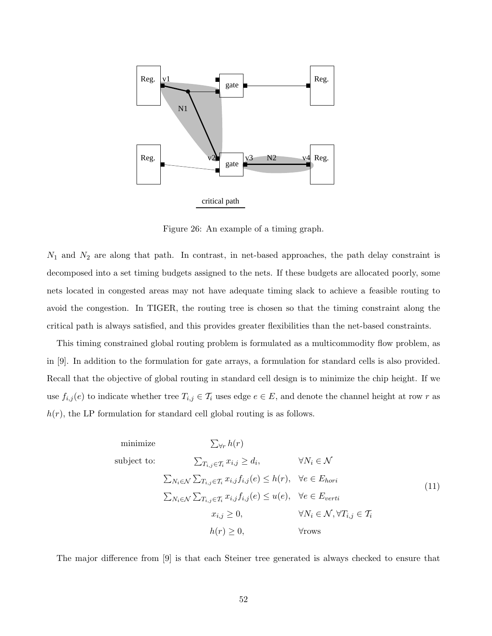

Figure 26: An example of a timing graph.

 $N_1$  and  $N_2$  are along that path. In contrast, in net-based approaches, the path delay constraint is decomposed into a set timing budgets assigned to the nets. If these budgets are allocated poorly, some nets located in congested areas may not have adequate timing slack to achieve a feasible routing to avoid the congestion. In TIGER, the routing tree is chosen so that the timing constraint along the critical path is always satisfied, and this provides greater flexibilities than the net-based constraints.

This timing constrained global routing problem is formulated as a multicommodity flow problem, as in [9]. In addition to the formulation for gate arrays, a formulation for standard cells is also provided. Recall that the objective of global routing in standard cell design is to minimize the chip height. If we use  $f_{i,j}(e)$  to indicate whether tree  $T_{i,j} \in \mathcal{T}_i$  uses edge  $e \in E$ , and denote the channel height at row r as  $h(r)$ , the LP formulation for standard cell global routing is as follows.

minimize 
$$
\sum_{\forall r} h(r)
$$
  
\nsubject to:  $\sum_{T_{i,j} \in T_i} x_{i,j} \ge d_i$ ,  $\forall N_i \in \mathcal{N}$   
\n $\sum_{N_i \in \mathcal{N}} \sum_{T_{i,j} \in T_i} x_{i,j} f_{i,j}(e) \le h(r)$ ,  $\forall e \in E_{hori}$   
\n $\sum_{N_i \in \mathcal{N}} \sum_{T_{i,j} \in T_i} x_{i,j} f_{i,j}(e) \le u(e)$ ,  $\forall e \in E_{verti}$   
\n $x_{i,j} \ge 0$ ,  $\forall N_i \in \mathcal{N}, \forall T_{i,j} \in T_i$   
\n $h(r) \ge 0$ ,  $\forall \text{rows}$ 

The major difference from [9] is that each Steiner tree generated is always checked to ensure that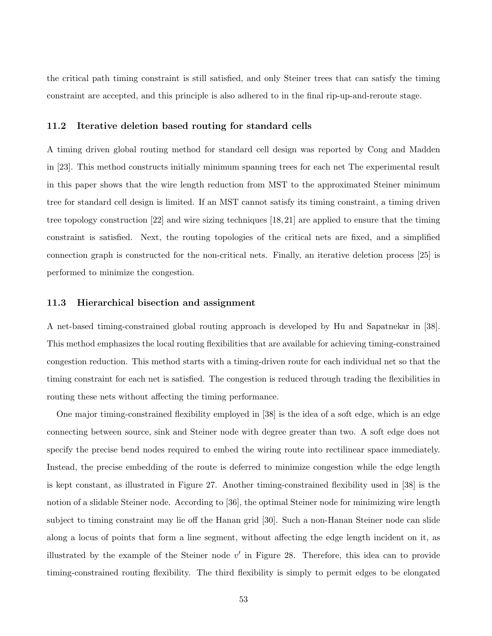the critical path timing constraint is still satisfied, and only Steiner trees that can satisfy the timing constraint are accepted, and this principle is also adhered to in the final rip-up-and-reroute stage.

### 11.2 Iterative deletion based routing for standard cells

A timing driven global routing method for standard cell design was reported by Cong and Madden in [23]. This method constructs initially minimum spanning trees for each net The experimental result in this paper shows that the wire length reduction from MST to the approximated Steiner minimum tree for standard cell design is limited. If an MST cannot satisfy its timing constraint, a timing driven tree topology construction [22] and wire sizing techniques [18, 21] are applied to ensure that the timing constraint is satisfied. Next, the routing topologies of the critical nets are fixed, and a simplified connection graph is constructed for the non-critical nets. Finally, an iterative deletion process [25] is performed to minimize the congestion.

#### 11.3 Hierarchical bisection and assignment

A net-based timing-constrained global routing approach is developed by Hu and Sapatnekar in [38]. This method emphasizes the local routing flexibilities that are available for achieving timing-constrained congestion reduction. This method starts with a timing-driven route for each individual net so that the timing constraint for each net is satisfied. The congestion is reduced through trading the flexibilities in routing these nets without affecting the timing performance.

One major timing-constrained flexibility employed in [38] is the idea of a soft edge, which is an edge connecting between source, sink and Steiner node with degree greater than two. A soft edge does not specify the precise bend nodes required to embed the wiring route into rectilinear space immediately. Instead, the precise embedding of the route is deferred to minimize congestion while the edge length is kept constant, as illustrated in Figure 27. Another timing-constrained flexibility used in [38] is the notion of a slidable Steiner node. According to [36], the optimal Steiner node for minimizing wire length subject to timing constraint may lie off the Hanan grid [30]. Such a non-Hanan Steiner node can slide along a locus of points that form a line segment, without affecting the edge length incident on it, as illustrated by the example of the Steiner node  $v'$  in Figure 28. Therefore, this idea can to provide timing-constrained routing flexibility. The third flexibility is simply to permit edges to be elongated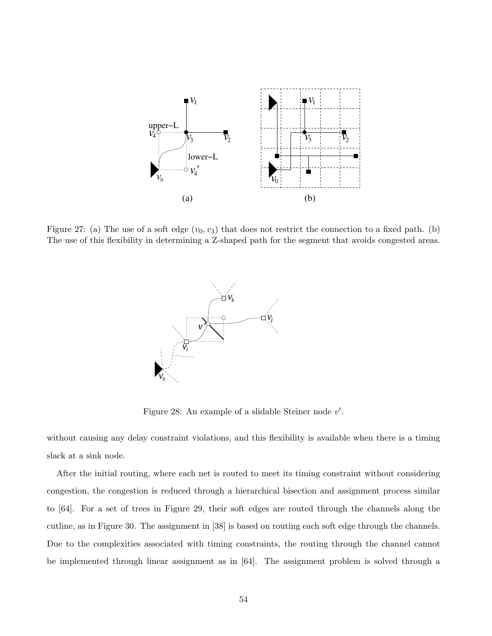

Figure 27: (a) The use of a soft edge  $(v_0, v_3)$  that does not restrict the connection to a fixed path. (b) The use of this flexibility in determining a Z-shaped path for the segment that avoids congested areas.



Figure 28: An example of a slidable Steiner node  $v'$ .

without causing any delay constraint violations, and this flexibility is available when there is a timing slack at a sink node.

After the initial routing, where each net is routed to meet its timing constraint without considering congestion, the congestion is reduced through a hierarchical bisection and assignment process similar to [64]. For a set of trees in Figure 29, their soft edges are routed through the channels along the cutline, as in Figure 30. The assignment in [38] is based on routing each soft edge through the channels. Due to the complexities associated with timing constraints, the routing through the channel cannot be implemented through linear assignment as in [64]. The assignment problem is solved through a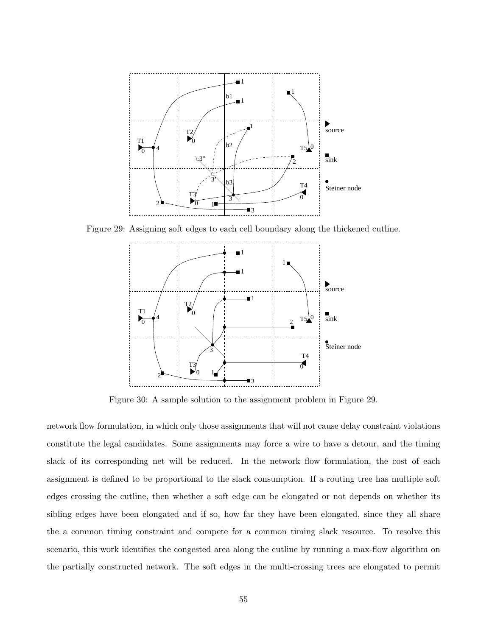

Figure 29: Assigning soft edges to each cell boundary along the thickened cutline.



Figure 30: A sample solution to the assignment problem in Figure 29.

network flow formulation, in which only those assignments that will not cause delay constraint violations constitute the legal candidates. Some assignments may force a wire to have a detour, and the timing slack of its corresponding net will be reduced. In the network flow formulation, the cost of each assignment is defined to be proportional to the slack consumption. If a routing tree has multiple soft edges crossing the cutline, then whether a soft edge can be elongated or not depends on whether its sibling edges have been elongated and if so, how far they have been elongated, since they all share the a common timing constraint and compete for a common timing slack resource. To resolve this scenario, this work identifies the congested area along the cutline by running a max-flow algorithm on the partially constructed network. The soft edges in the multi-crossing trees are elongated to permit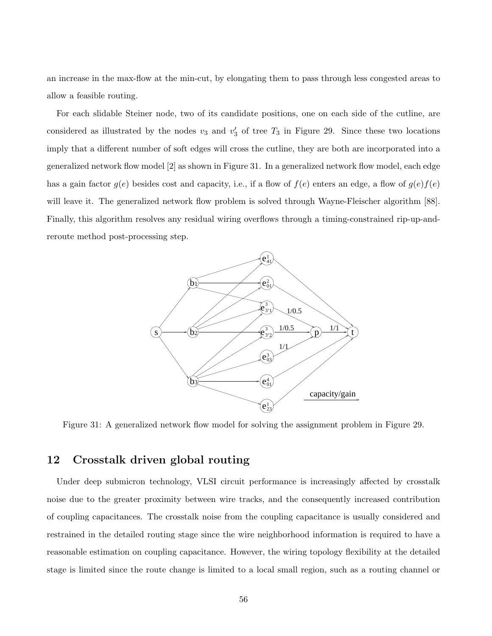an increase in the max-flow at the min-cut, by elongating them to pass through less congested areas to allow a feasible routing.

For each slidable Steiner node, two of its candidate positions, one on each side of the cutline, are considered as illustrated by the nodes  $v_3$  and  $v'_3$  of tree  $T_3$  in Figure 29. Since these two locations imply that a different number of soft edges will cross the cutline, they are both are incorporated into a generalized network flow model [2] as shown in Figure 31. In a generalized network flow model, each edge has a gain factor  $g(e)$  besides cost and capacity, i.e., if a flow of  $f(e)$  enters an edge, a flow of  $g(e)f(e)$ will leave it. The generalized network flow problem is solved through Wayne-Fleischer algorithm [88]. Finally, this algorithm resolves any residual wiring overflows through a timing-constrained rip-up-andreroute method post-processing step.



Figure 31: A generalized network flow model for solving the assignment problem in Figure 29.

# 12 Crosstalk driven global routing

Under deep submicron technology, VLSI circuit performance is increasingly affected by crosstalk noise due to the greater proximity between wire tracks, and the consequently increased contribution of coupling capacitances. The crosstalk noise from the coupling capacitance is usually considered and restrained in the detailed routing stage since the wire neighborhood information is required to have a reasonable estimation on coupling capacitance. However, the wiring topology flexibility at the detailed stage is limited since the route change is limited to a local small region, such as a routing channel or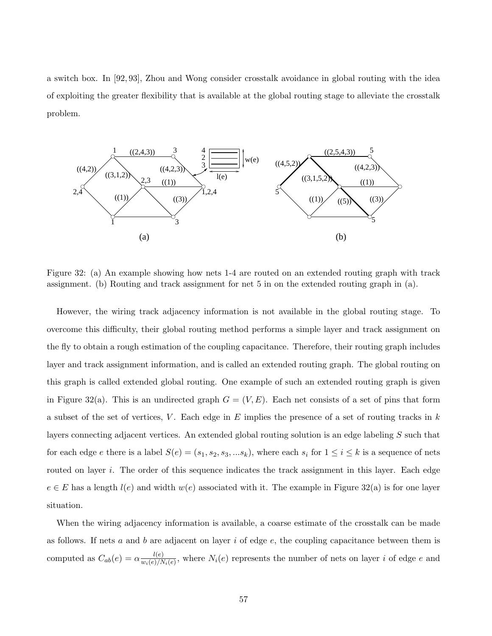a switch box. In [92, 93], Zhou and Wong consider crosstalk avoidance in global routing with the idea of exploiting the greater flexibility that is available at the global routing stage to alleviate the crosstalk problem.



Figure 32: (a) An example showing how nets 1-4 are routed on an extended routing graph with track assignment. (b) Routing and track assignment for net 5 in on the extended routing graph in (a).

However, the wiring track adjacency information is not available in the global routing stage. To overcome this difficulty, their global routing method performs a simple layer and track assignment on the fly to obtain a rough estimation of the coupling capacitance. Therefore, their routing graph includes layer and track assignment information, and is called an extended routing graph. The global routing on this graph is called extended global routing. One example of such an extended routing graph is given in Figure 32(a). This is an undirected graph  $G = (V, E)$ . Each net consists of a set of pins that form a subset of the set of vertices, V. Each edge in  $E$  implies the presence of a set of routing tracks in  $k$ layers connecting adjacent vertices. An extended global routing solution is an edge labeling S such that for each edge e there is a label  $S(e) = (s_1, s_2, s_3, ... s_k)$ , where each  $s_i$  for  $1 \le i \le k$  is a sequence of nets routed on layer i. The order of this sequence indicates the track assignment in this layer. Each edge  $e \in E$  has a length  $l(e)$  and width  $w(e)$  associated with it. The example in Figure 32(a) is for one layer situation.

When the wiring adjacency information is available, a coarse estimate of the crosstalk can be made as follows. If nets a and b are adjacent on layer i of edge  $e$ , the coupling capacitance between them is computed as  $C_{ab}(e) = \alpha \frac{l(e)}{w_i(e)/N}$  $\frac{l(e)}{w_i(e)/N_i(e)}$ , where  $N_i(e)$  represents the number of nets on layer i of edge e and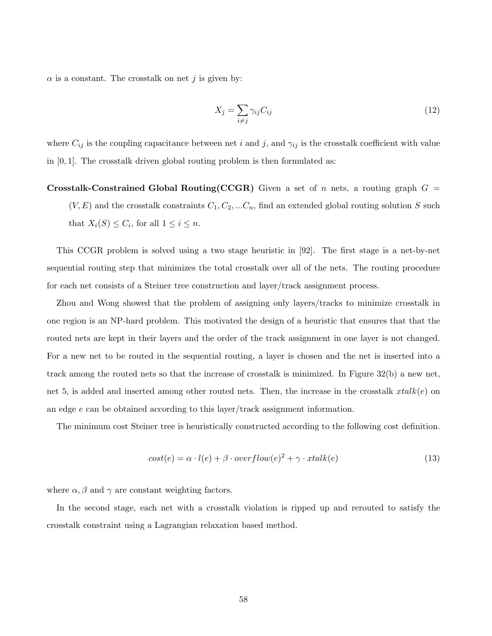$\alpha$  is a constant. The crosstalk on net j is given by:

$$
X_j = \sum_{i \neq j} \gamma_{ij} C_{ij} \tag{12}
$$

where  $C_{ij}$  is the coupling capacitance between net i and j, and  $\gamma_{ij}$  is the crosstalk coefficient with value in  $[0, 1]$ . The crosstalk driven global routing problem is then formulated as:

**Crosstalk-Constrained Global Routing(CCGR)** Given a set of n nets, a routing graph  $G =$  $(V, E)$  and the crosstalk constraints  $C_1, C_2, ... C_n$ , find an extended global routing solution S such that  $X_i(S) \leq C_i$ , for all  $1 \leq i \leq n$ .

This CCGR problem is solved using a two stage heuristic in [92]. The first stage is a net-by-net sequential routing step that minimizes the total crosstalk over all of the nets. The routing procedure for each net consists of a Steiner tree construction and layer/track assignment process.

Zhou and Wong showed that the problem of assigning only layers/tracks to minimize crosstalk in one region is an NP-hard problem. This motivated the design of a heuristic that ensures that that the routed nets are kept in their layers and the order of the track assignment in one layer is not changed. For a new net to be routed in the sequential routing, a layer is chosen and the net is inserted into a track among the routed nets so that the increase of crosstalk is minimized. In Figure 32(b) a new net, net 5, is added and inserted among other routed nets. Then, the increase in the crosstalk  $xtalk(e)$  on an edge e can be obtained according to this layer/track assignment information.

The minimum cost Steiner tree is heuristically constructed according to the following cost definition.

$$
cost(e) = \alpha \cdot l(e) + \beta \cdot overflow(e)^{2} + \gamma \cdot xtalk(e)
$$
\n(13)

where  $\alpha, \beta$  and  $\gamma$  are constant weighting factors.

In the second stage, each net with a crosstalk violation is ripped up and rerouted to satisfy the crosstalk constraint using a Lagrangian relaxation based method.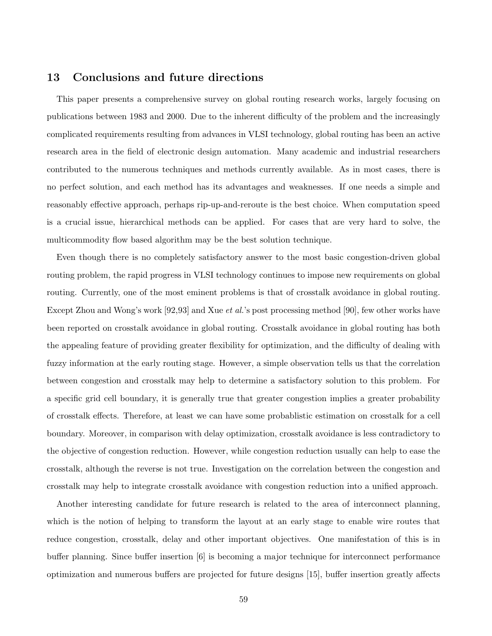# 13 Conclusions and future directions

This paper presents a comprehensive survey on global routing research works, largely focusing on publications between 1983 and 2000. Due to the inherent difficulty of the problem and the increasingly complicated requirements resulting from advances in VLSI technology, global routing has been an active research area in the field of electronic design automation. Many academic and industrial researchers contributed to the numerous techniques and methods currently available. As in most cases, there is no perfect solution, and each method has its advantages and weaknesses. If one needs a simple and reasonably effective approach, perhaps rip-up-and-reroute is the best choice. When computation speed is a crucial issue, hierarchical methods can be applied. For cases that are very hard to solve, the multicommodity flow based algorithm may be the best solution technique.

Even though there is no completely satisfactory answer to the most basic congestion-driven global routing problem, the rapid progress in VLSI technology continues to impose new requirements on global routing. Currently, one of the most eminent problems is that of crosstalk avoidance in global routing. Except Zhou and Wong's work [92,93] and Xue et al.'s post processing method [90], few other works have been reported on crosstalk avoidance in global routing. Crosstalk avoidance in global routing has both the appealing feature of providing greater flexibility for optimization, and the difficulty of dealing with fuzzy information at the early routing stage. However, a simple observation tells us that the correlation between congestion and crosstalk may help to determine a satisfactory solution to this problem. For a specific grid cell boundary, it is generally true that greater congestion implies a greater probability of crosstalk effects. Therefore, at least we can have some probablistic estimation on crosstalk for a cell boundary. Moreover, in comparison with delay optimization, crosstalk avoidance is less contradictory to the objective of congestion reduction. However, while congestion reduction usually can help to ease the crosstalk, although the reverse is not true. Investigation on the correlation between the congestion and crosstalk may help to integrate crosstalk avoidance with congestion reduction into a unified approach.

Another interesting candidate for future research is related to the area of interconnect planning, which is the notion of helping to transform the layout at an early stage to enable wire routes that reduce congestion, crosstalk, delay and other important objectives. One manifestation of this is in buffer planning. Since buffer insertion [6] is becoming a major technique for interconnect performance optimization and numerous buffers are projected for future designs [15], buffer insertion greatly affects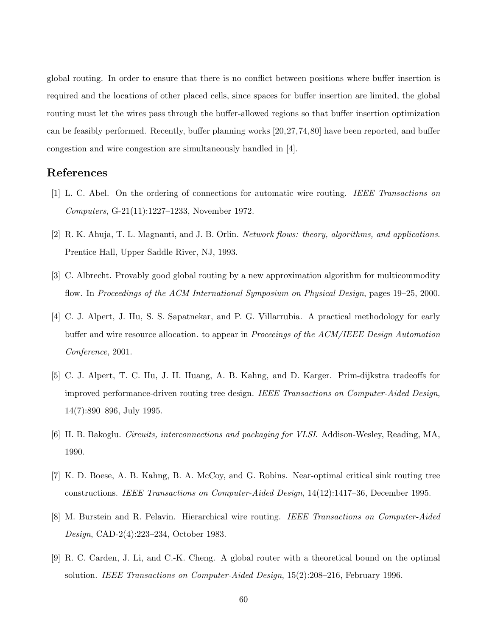global routing. In order to ensure that there is no conflict between positions where buffer insertion is required and the locations of other placed cells, since spaces for buffer insertion are limited, the global routing must let the wires pass through the buffer-allowed regions so that buffer insertion optimization can be feasibly performed. Recently, buffer planning works [20,27,74,80] have been reported, and buffer congestion and wire congestion are simultaneously handled in [4].

# References

- [1] L. C. Abel. On the ordering of connections for automatic wire routing. IEEE Transactions on Computers, G-21(11):1227–1233, November 1972.
- [2] R. K. Ahuja, T. L. Magnanti, and J. B. Orlin. Network flows: theory, algorithms, and applications. Prentice Hall, Upper Saddle River, NJ, 1993.
- [3] C. Albrecht. Provably good global routing by a new approximation algorithm for multicommodity flow. In Proceedings of the ACM International Symposium on Physical Design, pages 19–25, 2000.
- [4] C. J. Alpert, J. Hu, S. S. Sapatnekar, and P. G. Villarrubia. A practical methodology for early buffer and wire resource allocation. to appear in Proceeings of the ACM/IEEE Design Automation Conference, 2001.
- [5] C. J. Alpert, T. C. Hu, J. H. Huang, A. B. Kahng, and D. Karger. Prim-dijkstra tradeoffs for improved performance-driven routing tree design. IEEE Transactions on Computer-Aided Design, 14(7):890–896, July 1995.
- [6] H. B. Bakoglu. Circuits, interconnections and packaging for VLSI. Addison-Wesley, Reading, MA, 1990.
- [7] K. D. Boese, A. B. Kahng, B. A. McCoy, and G. Robins. Near-optimal critical sink routing tree constructions. IEEE Transactions on Computer-Aided Design, 14(12):1417–36, December 1995.
- [8] M. Burstein and R. Pelavin. Hierarchical wire routing. IEEE Transactions on Computer-Aided Design, CAD-2(4):223–234, October 1983.
- [9] R. C. Carden, J. Li, and C.-K. Cheng. A global router with a theoretical bound on the optimal solution. IEEE Transactions on Computer-Aided Design, 15(2):208–216, February 1996.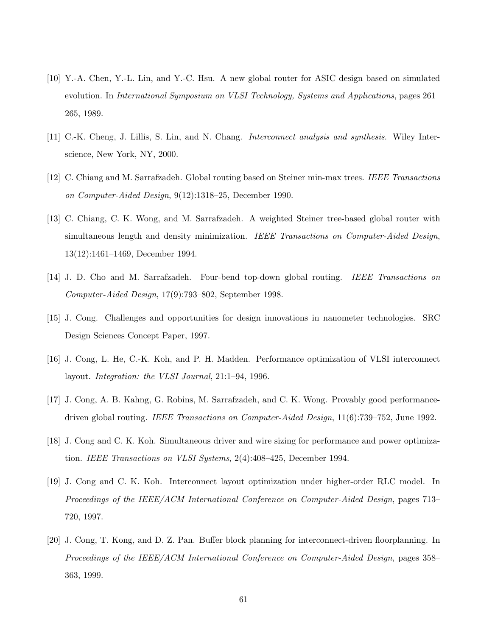- [10] Y.-A. Chen, Y.-L. Lin, and Y.-C. Hsu. A new global router for ASIC design based on simulated evolution. In International Symposium on VLSI Technology, Systems and Applications, pages 261– 265, 1989.
- [11] C.-K. Cheng, J. Lillis, S. Lin, and N. Chang. *Interconnect analysis and synthesis*. Wiley Interscience, New York, NY, 2000.
- [12] C. Chiang and M. Sarrafzadeh. Global routing based on Steiner min-max trees. IEEE Transactions on Computer-Aided Design, 9(12):1318–25, December 1990.
- [13] C. Chiang, C. K. Wong, and M. Sarrafzadeh. A weighted Steiner tree-based global router with simultaneous length and density minimization. IEEE Transactions on Computer-Aided Design, 13(12):1461–1469, December 1994.
- [14] J. D. Cho and M. Sarrafzadeh. Four-bend top-down global routing. IEEE Transactions on Computer-Aided Design, 17(9):793–802, September 1998.
- [15] J. Cong. Challenges and opportunities for design innovations in nanometer technologies. SRC Design Sciences Concept Paper, 1997.
- [16] J. Cong, L. He, C.-K. Koh, and P. H. Madden. Performance optimization of VLSI interconnect layout. Integration: the VLSI Journal, 21:1–94, 1996.
- [17] J. Cong, A. B. Kahng, G. Robins, M. Sarrafzadeh, and C. K. Wong. Provably good performancedriven global routing. IEEE Transactions on Computer-Aided Design, 11(6):739–752, June 1992.
- [18] J. Cong and C. K. Koh. Simultaneous driver and wire sizing for performance and power optimization. IEEE Transactions on VLSI Systems, 2(4):408–425, December 1994.
- [19] J. Cong and C. K. Koh. Interconnect layout optimization under higher-order RLC model. In Proceedings of the IEEE/ACM International Conference on Computer-Aided Design, pages 713– 720, 1997.
- [20] J. Cong, T. Kong, and D. Z. Pan. Buffer block planning for interconnect-driven floorplanning. In Proceedings of the IEEE/ACM International Conference on Computer-Aided Design, pages 358– 363, 1999.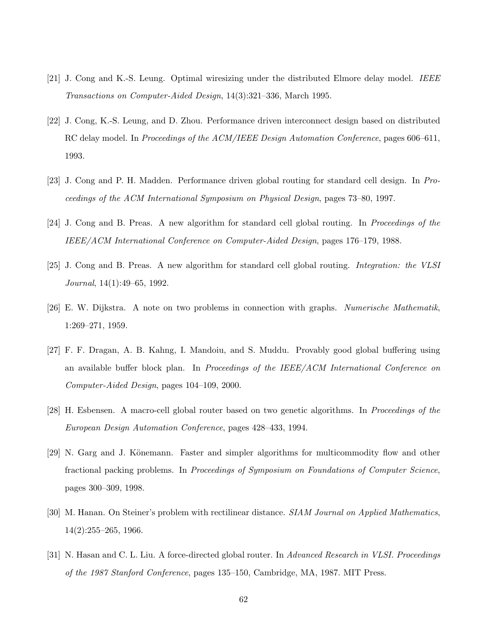- [21] J. Cong and K.-S. Leung. Optimal wiresizing under the distributed Elmore delay model. IEEE Transactions on Computer-Aided Design, 14(3):321–336, March 1995.
- [22] J. Cong, K.-S. Leung, and D. Zhou. Performance driven interconnect design based on distributed RC delay model. In Proceedings of the ACM/IEEE Design Automation Conference, pages 606–611, 1993.
- [23] J. Cong and P. H. Madden. Performance driven global routing for standard cell design. In Proceedings of the ACM International Symposium on Physical Design, pages 73–80, 1997.
- [24] J. Cong and B. Preas. A new algorithm for standard cell global routing. In Proceedings of the IEEE/ACM International Conference on Computer-Aided Design, pages 176–179, 1988.
- [25] J. Cong and B. Preas. A new algorithm for standard cell global routing. Integration: the VLSI Journal, 14(1):49–65, 1992.
- [26] E. W. Dijkstra. A note on two problems in connection with graphs. Numerische Mathematik, 1:269–271, 1959.
- [27] F. F. Dragan, A. B. Kahng, I. Mandoiu, and S. Muddu. Provably good global buffering using an available buffer block plan. In Proceedings of the IEEE/ACM International Conference on Computer-Aided Design, pages 104–109, 2000.
- [28] H. Esbensen. A macro-cell global router based on two genetic algorithms. In Proceedings of the European Design Automation Conference, pages 428–433, 1994.
- [29] N. Garg and J. Könemann. Faster and simpler algorithms for multicommodity flow and other fractional packing problems. In Proceedings of Symposium on Foundations of Computer Science, pages 300–309, 1998.
- [30] M. Hanan. On Steiner's problem with rectilinear distance. SIAM Journal on Applied Mathematics, 14(2):255–265, 1966.
- [31] N. Hasan and C. L. Liu. A force-directed global router. In Advanced Research in VLSI. Proceedings of the 1987 Stanford Conference, pages 135–150, Cambridge, MA, 1987. MIT Press.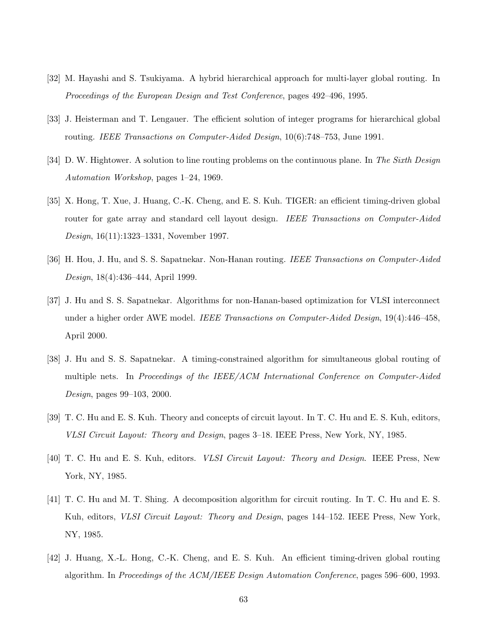- [32] M. Hayashi and S. Tsukiyama. A hybrid hierarchical approach for multi-layer global routing. In Proceedings of the European Design and Test Conference, pages 492–496, 1995.
- [33] J. Heisterman and T. Lengauer. The efficient solution of integer programs for hierarchical global routing. IEEE Transactions on Computer-Aided Design, 10(6):748–753, June 1991.
- [34] D. W. Hightower. A solution to line routing problems on the continuous plane. In The Sixth Design Automation Workshop, pages 1–24, 1969.
- [35] X. Hong, T. Xue, J. Huang, C.-K. Cheng, and E. S. Kuh. TIGER: an efficient timing-driven global router for gate array and standard cell layout design. IEEE Transactions on Computer-Aided Design, 16(11):1323–1331, November 1997.
- [36] H. Hou, J. Hu, and S. S. Sapatnekar. Non-Hanan routing. IEEE Transactions on Computer-Aided Design, 18(4):436–444, April 1999.
- [37] J. Hu and S. S. Sapatnekar. Algorithms for non-Hanan-based optimization for VLSI interconnect under a higher order AWE model. IEEE Transactions on Computer-Aided Design, 19(4):446–458, April 2000.
- [38] J. Hu and S. S. Sapatnekar. A timing-constrained algorithm for simultaneous global routing of multiple nets. In Proceedings of the IEEE/ACM International Conference on Computer-Aided Design, pages 99–103, 2000.
- [39] T. C. Hu and E. S. Kuh. Theory and concepts of circuit layout. In T. C. Hu and E. S. Kuh, editors, VLSI Circuit Layout: Theory and Design, pages 3–18. IEEE Press, New York, NY, 1985.
- [40] T. C. Hu and E. S. Kuh, editors. VLSI Circuit Layout: Theory and Design. IEEE Press, New York, NY, 1985.
- [41] T. C. Hu and M. T. Shing. A decomposition algorithm for circuit routing. In T. C. Hu and E. S. Kuh, editors, VLSI Circuit Layout: Theory and Design, pages 144–152. IEEE Press, New York, NY, 1985.
- [42] J. Huang, X.-L. Hong, C.-K. Cheng, and E. S. Kuh. An efficient timing-driven global routing algorithm. In Proceedings of the ACM/IEEE Design Automation Conference, pages 596–600, 1993.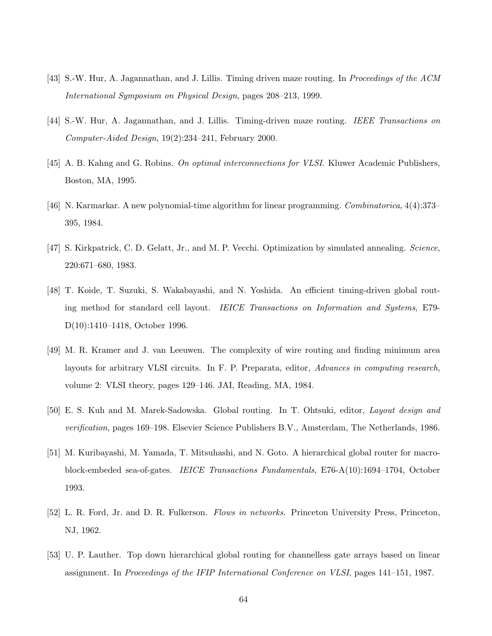- [43] S.-W. Hur, A. Jagannathan, and J. Lillis. Timing driven maze routing. In Proceedings of the ACM International Symposium on Physical Design, pages 208–213, 1999.
- [44] S.-W. Hur, A. Jagannathan, and J. Lillis. Timing-driven maze routing. IEEE Transactions on Computer-Aided Design, 19(2):234–241, February 2000.
- [45] A. B. Kahng and G. Robins. On optimal interconnections for VLSI. Kluwer Academic Publishers, Boston, MA, 1995.
- [46] N. Karmarkar. A new polynomial-time algorithm for linear programming. Combinatorica, 4(4):373– 395, 1984.
- [47] S. Kirkpatrick, C. D. Gelatt, Jr., and M. P. Vecchi. Optimization by simulated annealing. Science, 220:671–680, 1983.
- [48] T. Koide, T. Suzuki, S. Wakabayashi, and N. Yoshida. An efficient timing-driven global routing method for standard cell layout. IEICE Transactions on Information and Systems, E79- D(10):1410–1418, October 1996.
- [49] M. R. Kramer and J. van Leeuwen. The complexity of wire routing and finding minimum area layouts for arbitrary VLSI circuits. In F. P. Preparata, editor, Advances in computing research, volume 2: VLSI theory, pages 129–146. JAI, Reading, MA, 1984.
- [50] E. S. Kuh and M. Marek-Sadowska. Global routing. In T. Ohtsuki, editor, Layout design and verification, pages 169–198. Elsevier Science Publishers B.V., Amsterdam, The Netherlands, 1986.
- [51] M. Kuribayashi, M. Yamada, T. Mitsuhashi, and N. Goto. A hierarchical global router for macroblock-embeded sea-of-gates. IEICE Transactions Fundamentals, E76-A(10):1694–1704, October 1993.
- [52] L. R. Ford, Jr. and D. R. Fulkerson. Flows in networks. Princeton University Press, Princeton, NJ, 1962.
- [53] U. P. Lauther. Top down hierarchical global routing for channelless gate arrays based on linear assignment. In Proceedings of the IFIP International Conference on VLSI, pages 141–151, 1987.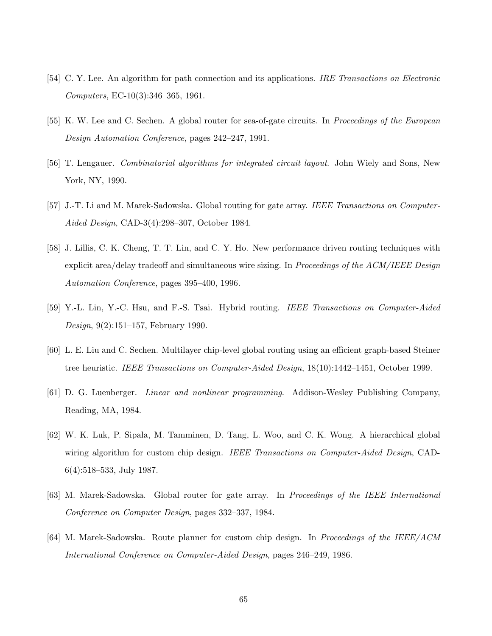- [54] C. Y. Lee. An algorithm for path connection and its applications. IRE Transactions on Electronic Computers, EC-10(3):346–365, 1961.
- [55] K. W. Lee and C. Sechen. A global router for sea-of-gate circuits. In Proceedings of the European Design Automation Conference, pages 242–247, 1991.
- [56] T. Lengauer. Combinatorial algorithms for integrated circuit layout. John Wiely and Sons, New York, NY, 1990.
- [57] J.-T. Li and M. Marek-Sadowska. Global routing for gate array. IEEE Transactions on Computer-Aided Design, CAD-3(4):298–307, October 1984.
- [58] J. Lillis, C. K. Cheng, T. T. Lin, and C. Y. Ho. New performance driven routing techniques with explicit area/delay tradeoff and simultaneous wire sizing. In Proceedings of the ACM/IEEE Design Automation Conference, pages 395–400, 1996.
- [59] Y.-L. Lin, Y.-C. Hsu, and F.-S. Tsai. Hybrid routing. IEEE Transactions on Computer-Aided Design, 9(2):151–157, February 1990.
- [60] L. E. Liu and C. Sechen. Multilayer chip-level global routing using an efficient graph-based Steiner tree heuristic. IEEE Transactions on Computer-Aided Design, 18(10):1442–1451, October 1999.
- [61] D. G. Luenberger. Linear and nonlinear programming. Addison-Wesley Publishing Company, Reading, MA, 1984.
- [62] W. K. Luk, P. Sipala, M. Tamminen, D. Tang, L. Woo, and C. K. Wong. A hierarchical global wiring algorithm for custom chip design. IEEE Transactions on Computer-Aided Design, CAD-6(4):518–533, July 1987.
- [63] M. Marek-Sadowska. Global router for gate array. In Proceedings of the IEEE International Conference on Computer Design, pages 332–337, 1984.
- [64] M. Marek-Sadowska. Route planner for custom chip design. In Proceedings of the IEEE/ACM International Conference on Computer-Aided Design, pages 246–249, 1986.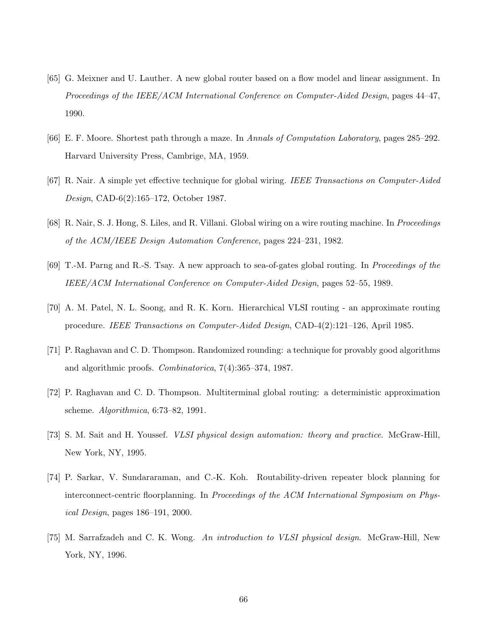- [65] G. Meixner and U. Lauther. A new global router based on a flow model and linear assignment. In Proceedings of the IEEE/ACM International Conference on Computer-Aided Design, pages 44–47, 1990.
- [66] E. F. Moore. Shortest path through a maze. In Annals of Computation Laboratory, pages 285–292. Harvard University Press, Cambrige, MA, 1959.
- [67] R. Nair. A simple yet effective technique for global wiring. IEEE Transactions on Computer-Aided Design, CAD-6(2):165–172, October 1987.
- [68] R. Nair, S. J. Hong, S. Liles, and R. Villani. Global wiring on a wire routing machine. In Proceedings of the ACM/IEEE Design Automation Conference, pages 224–231, 1982.
- [69] T.-M. Parng and R.-S. Tsay. A new approach to sea-of-gates global routing. In Proceedings of the IEEE/ACM International Conference on Computer-Aided Design, pages 52–55, 1989.
- [70] A. M. Patel, N. L. Soong, and R. K. Korn. Hierarchical VLSI routing an approximate routing procedure. IEEE Transactions on Computer-Aided Design, CAD-4(2):121–126, April 1985.
- [71] P. Raghavan and C. D. Thompson. Randomized rounding: a technique for provably good algorithms and algorithmic proofs. Combinatorica, 7(4):365–374, 1987.
- [72] P. Raghavan and C. D. Thompson. Multiterminal global routing: a deterministic approximation scheme. Algorithmica, 6:73–82, 1991.
- [73] S. M. Sait and H. Youssef. VLSI physical design automation: theory and practice. McGraw-Hill, New York, NY, 1995.
- [74] P. Sarkar, V. Sundararaman, and C.-K. Koh. Routability-driven repeater block planning for interconnect-centric floorplanning. In Proceedings of the ACM International Symposium on Physical Design, pages 186–191, 2000.
- [75] M. Sarrafzadeh and C. K. Wong. An introduction to VLSI physical design. McGraw-Hill, New York, NY, 1996.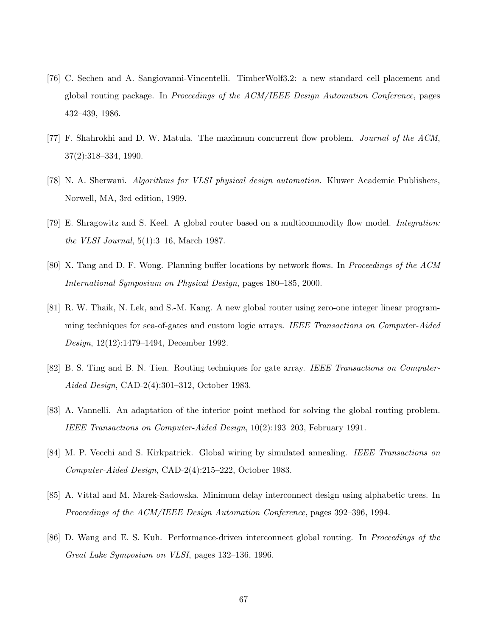- [76] C. Sechen and A. Sangiovanni-Vincentelli. TimberWolf3.2: a new standard cell placement and global routing package. In Proceedings of the ACM/IEEE Design Automation Conference, pages 432–439, 1986.
- [77] F. Shahrokhi and D. W. Matula. The maximum concurrent flow problem. Journal of the ACM, 37(2):318–334, 1990.
- [78] N. A. Sherwani. Algorithms for VLSI physical design automation. Kluwer Academic Publishers, Norwell, MA, 3rd edition, 1999.
- [79] E. Shragowitz and S. Keel. A global router based on a multicommodity flow model. Integration: the VLSI Journal, 5(1):3–16, March 1987.
- [80] X. Tang and D. F. Wong. Planning buffer locations by network flows. In Proceedings of the ACM International Symposium on Physical Design, pages 180–185, 2000.
- [81] R. W. Thaik, N. Lek, and S.-M. Kang. A new global router using zero-one integer linear programming techniques for sea-of-gates and custom logic arrays. IEEE Transactions on Computer-Aided Design, 12(12):1479–1494, December 1992.
- [82] B. S. Ting and B. N. Tien. Routing techniques for gate array. IEEE Transactions on Computer-Aided Design, CAD-2(4):301–312, October 1983.
- [83] A. Vannelli. An adaptation of the interior point method for solving the global routing problem. IEEE Transactions on Computer-Aided Design, 10(2):193–203, February 1991.
- [84] M. P. Vecchi and S. Kirkpatrick. Global wiring by simulated annealing. IEEE Transactions on Computer-Aided Design, CAD-2(4):215–222, October 1983.
- [85] A. Vittal and M. Marek-Sadowska. Minimum delay interconnect design using alphabetic trees. In Proceedings of the ACM/IEEE Design Automation Conference, pages 392–396, 1994.
- [86] D. Wang and E. S. Kuh. Performance-driven interconnect global routing. In Proceedings of the Great Lake Symposium on VLSI, pages 132–136, 1996.